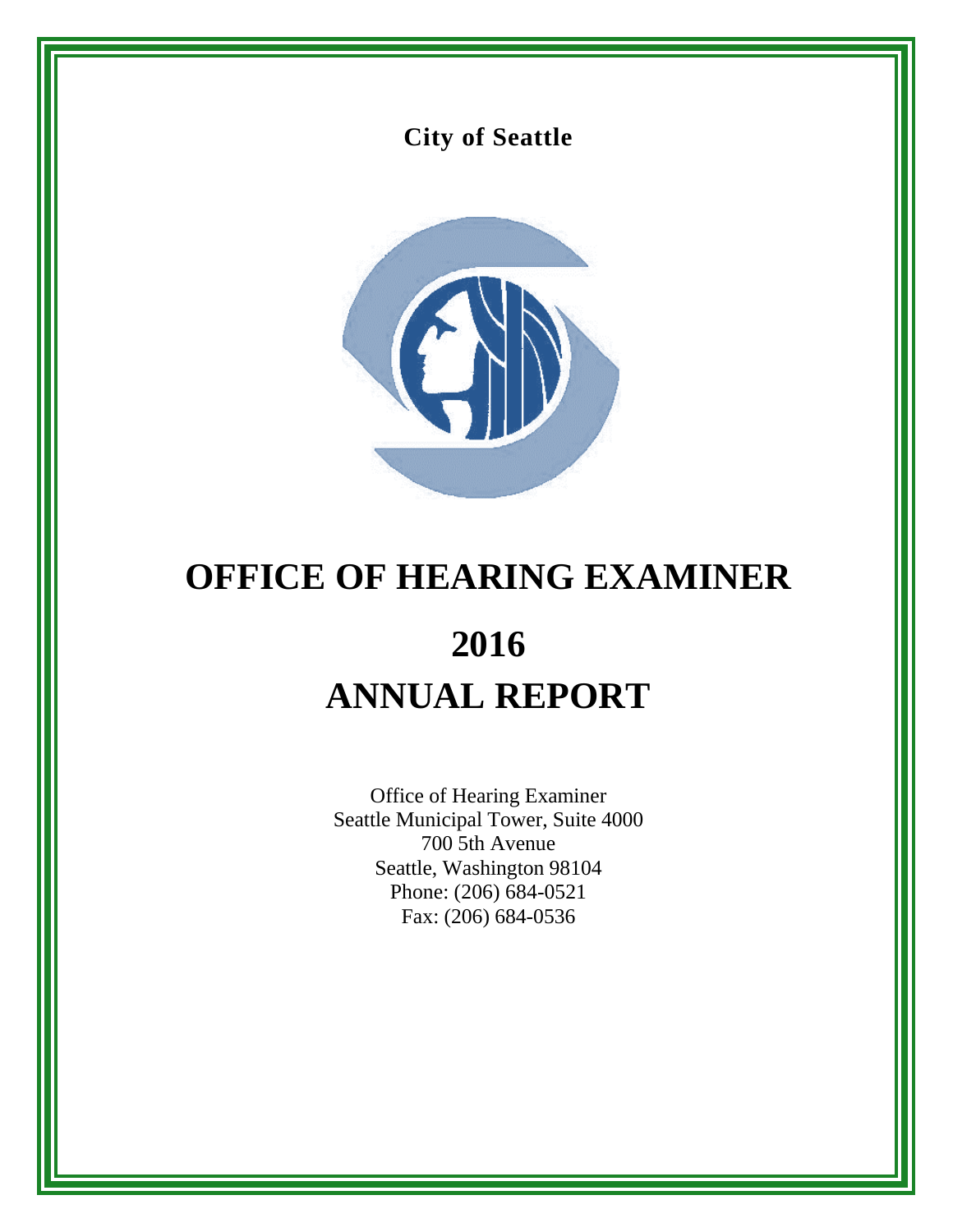## **City of Seattle**



# **OFFICE OF HEARING EXAMINER 2016 ANNUAL REPORT**

Office of Hearing Examiner Seattle Municipal Tower, Suite 4000 700 5th Avenue Seattle, Washington 98104 Phone: (206) 684-0521 Fax: (206) 684-0536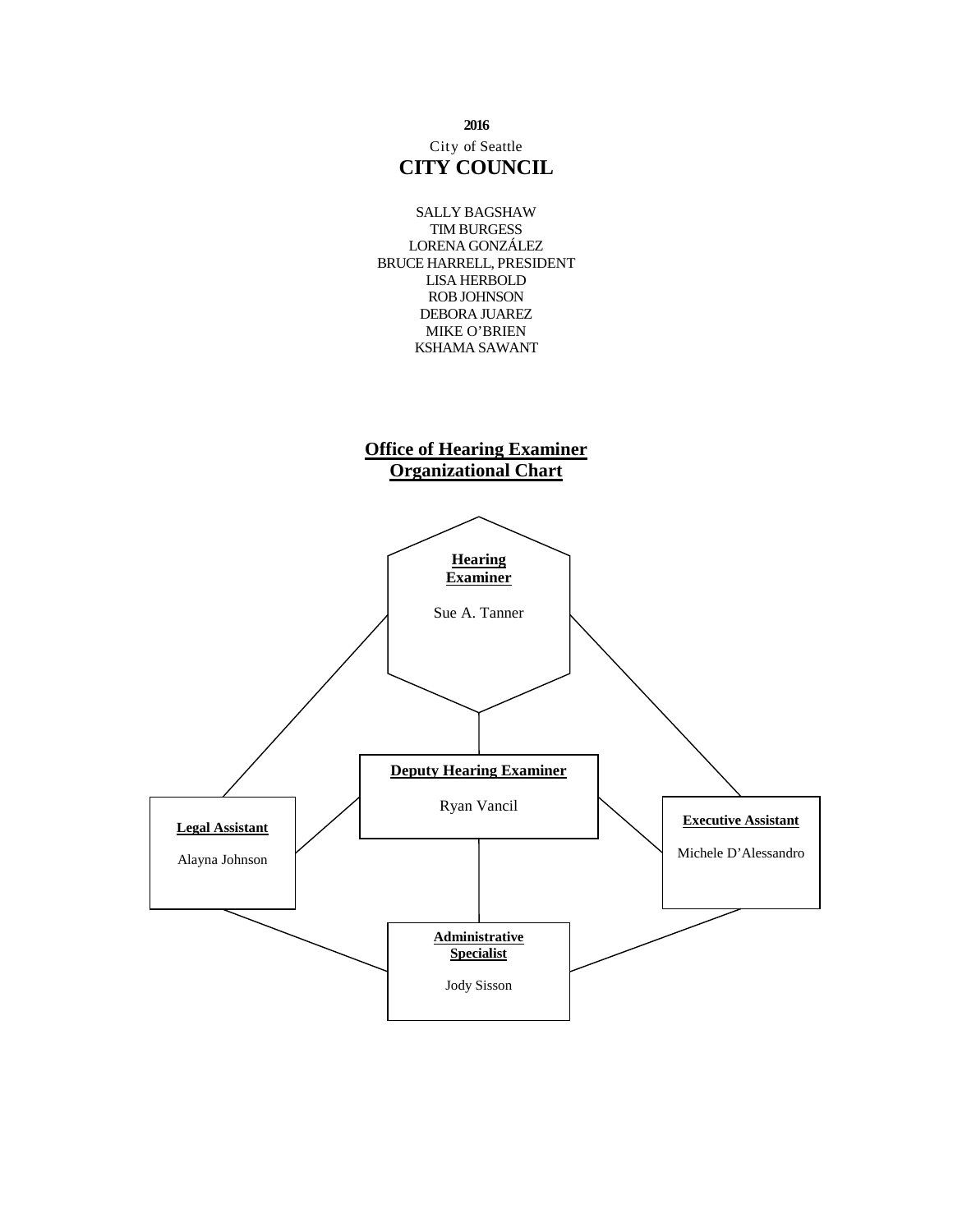

## City of Seattle **CITY COUNCIL**



## **Office of Hearing Examiner Organizational Chart**

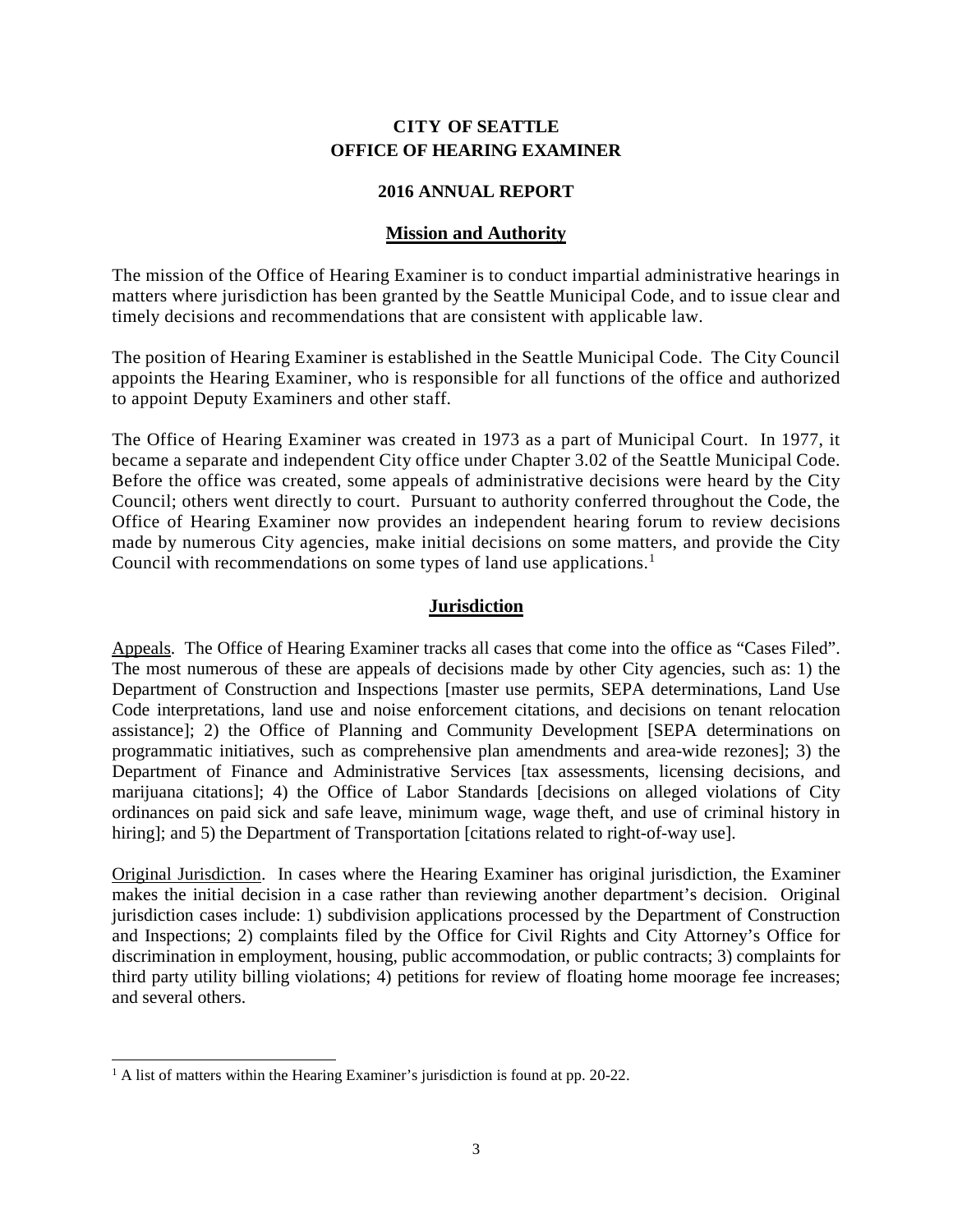## **CITY OF SEATTLE OFFICE OF HEARING EXAMINER**

## **2016 ANNUAL REPORT**

## **Mission and Authority**

The mission of the Office of Hearing Examiner is to conduct impartial administrative hearings in matters where jurisdiction has been granted by the Seattle Municipal Code, and to issue clear and timely decisions and recommendations that are consistent with applicable law.

The position of Hearing Examiner is established in the Seattle Municipal Code. The City Council appoints the Hearing Examiner, who is responsible for all functions of the office and authorized to appoint Deputy Examiners and other staff.

The Office of Hearing Examiner was created in 1973 as a part of Municipal Court. In 1977, it became a separate and independent City office under Chapter 3.02 of the Seattle Municipal Code. Before the office was created, some appeals of administrative decisions were heard by the City Council; others went directly to court. Pursuant to authority conferred throughout the Code, the Office of Hearing Examiner now provides an independent hearing forum to review decisions made by numerous City agencies, make initial decisions on some matters, and provide the City Council with recommendations on some types of land use applications.<sup>[1](#page-2-0)</sup>

## **Jurisdiction**

Appeals. The Office of Hearing Examiner tracks all cases that come into the office as "Cases Filed". The most numerous of these are appeals of decisions made by other City agencies, such as: 1) the Department of Construction and Inspections [master use permits, SEPA determinations, Land Use Code interpretations, land use and noise enforcement citations, and decisions on tenant relocation assistance]; 2) the Office of Planning and Community Development [SEPA determinations on programmatic initiatives, such as comprehensive plan amendments and area-wide rezones]; 3) the Department of Finance and Administrative Services [tax assessments, licensing decisions, and marijuana citations]; 4) the Office of Labor Standards [decisions on alleged violations of City ordinances on paid sick and safe leave, minimum wage, wage theft, and use of criminal history in hiring]; and 5) the Department of Transportation [citations related to right-of-way use].

Original Jurisdiction. In cases where the Hearing Examiner has original jurisdiction, the Examiner makes the initial decision in a case rather than reviewing another department's decision. Original jurisdiction cases include: 1) subdivision applications processed by the Department of Construction and Inspections; 2) complaints filed by the Office for Civil Rights and City Attorney's Office for discrimination in employment, housing, public accommodation, or public contracts; 3) complaints for third party utility billing violations; 4) petitions for review of floating home moorage fee increases; and several others.

<span id="page-2-0"></span><sup>&</sup>lt;sup>1</sup> A list of matters within the Hearing Examiner's jurisdiction is found at pp. 20-22.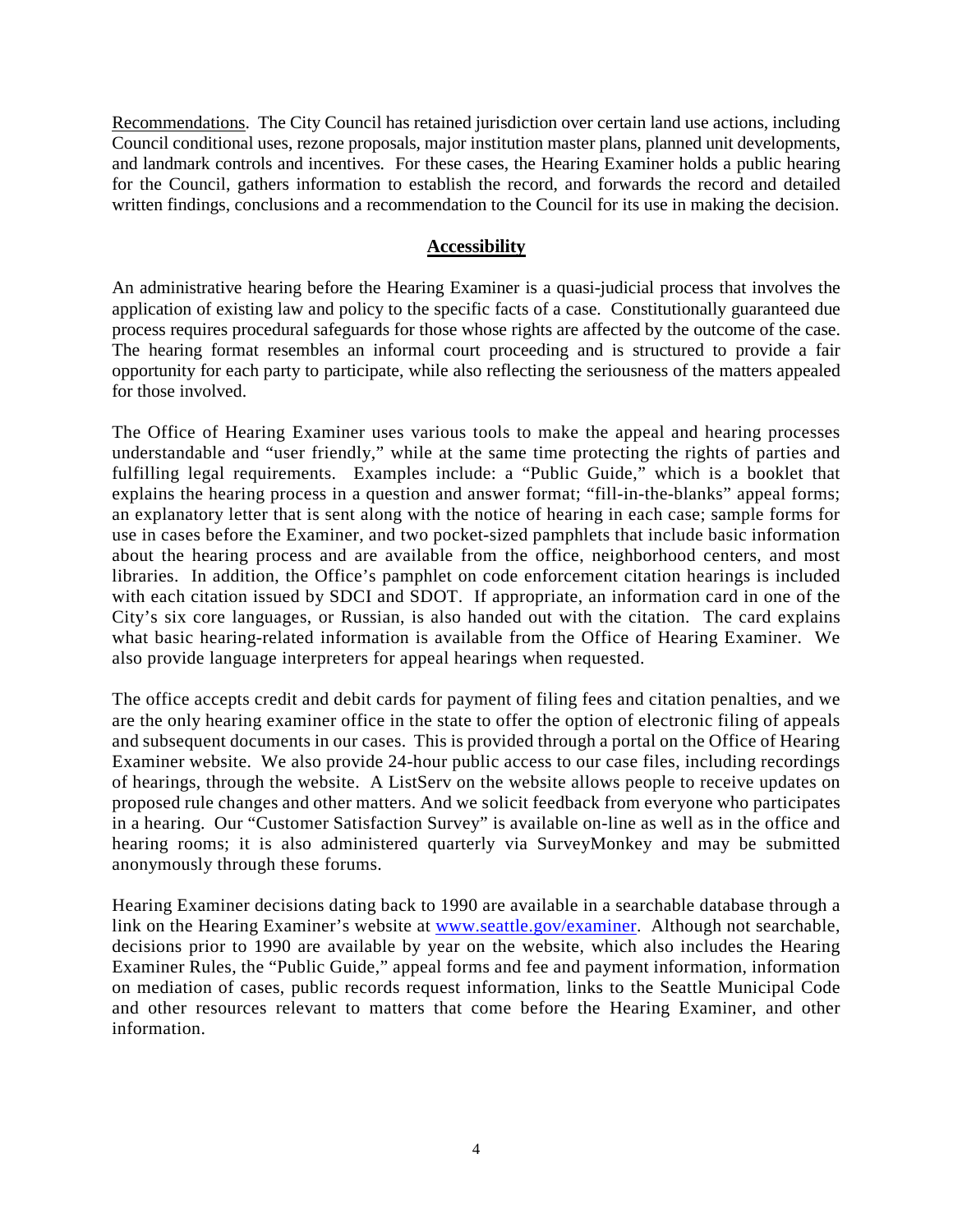Recommendations. The City Council has retained jurisdiction over certain land use actions, including Council conditional uses, rezone proposals, major institution master plans, planned unit developments, and landmark controls and incentives. For these cases, the Hearing Examiner holds a public hearing for the Council, gathers information to establish the record, and forwards the record and detailed written findings, conclusions and a recommendation to the Council for its use in making the decision.

## **Accessibility**

An administrative hearing before the Hearing Examiner is a quasi-judicial process that involves the application of existing law and policy to the specific facts of a case. Constitutionally guaranteed due process requires procedural safeguards for those whose rights are affected by the outcome of the case. The hearing format resembles an informal court proceeding and is structured to provide a fair opportunity for each party to participate, while also reflecting the seriousness of the matters appealed for those involved.

The Office of Hearing Examiner uses various tools to make the appeal and hearing processes understandable and "user friendly," while at the same time protecting the rights of parties and fulfilling legal requirements. Examples include: a "Public Guide," which is a booklet that explains the hearing process in a question and answer format; "fill-in-the-blanks" appeal forms; an explanatory letter that is sent along with the notice of hearing in each case; sample forms for use in cases before the Examiner, and two pocket-sized pamphlets that include basic information about the hearing process and are available from the office, neighborhood centers, and most libraries. In addition, the Office's pamphlet on code enforcement citation hearings is included with each citation issued by SDCI and SDOT. If appropriate, an information card in one of the City's six core languages, or Russian, is also handed out with the citation. The card explains what basic hearing-related information is available from the Office of Hearing Examiner. We also provide language interpreters for appeal hearings when requested.

The office accepts credit and debit cards for payment of filing fees and citation penalties, and we are the only hearing examiner office in the state to offer the option of electronic filing of appeals and subsequent documents in our cases. This is provided through a portal on the Office of Hearing Examiner website. We also provide 24-hour public access to our case files, including recordings of hearings, through the website. A ListServ on the website allows people to receive updates on proposed rule changes and other matters. And we solicit feedback from everyone who participates in a hearing. Our "Customer Satisfaction Survey" is available on-line as well as in the office and hearing rooms; it is also administered quarterly via SurveyMonkey and may be submitted anonymously through these forums.

Hearing Examiner decisions dating back to 1990 are available in a searchable database through a link on the Hearing Examiner's website at [www.seattle.gov/examiner.](http://www.seattle.gov/examiner) Although not searchable, decisions prior to 1990 are available by year on the website, which also includes the Hearing Examiner Rules, the "Public Guide," appeal forms and fee and payment information, information on mediation of cases, public records request information, links to the Seattle Municipal Code and other resources relevant to matters that come before the Hearing Examiner, and other information.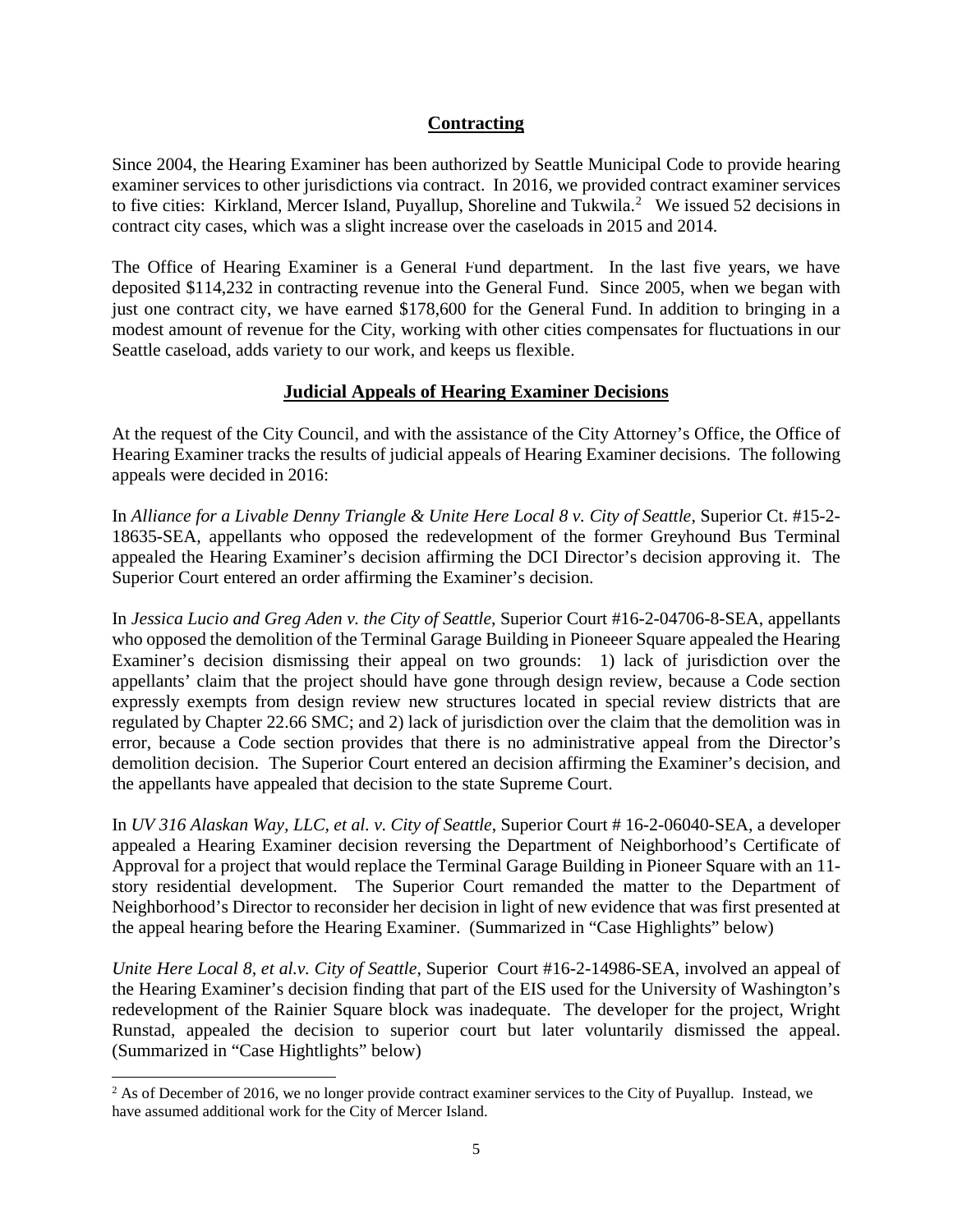## **Contracting**

Since 2004, the Hearing Examiner has been authorized by Seattle Municipal Code to provide hearing examiner services to other jurisdictions via contract. In 2016, we provided contract examiner services to five cities: Kirkland, Mercer Island, Puyallup, Shoreline and Tukwila.<sup>[2](#page-4-0)</sup> We issued 52 decisions in contract city cases, which was a slight increase over the caseloads in 2015 and 2014.

The Office of Hearing Examiner is a General Fund department. In the last five years, we have deposited \$114,232 in contracting revenue into the General Fund. Since 2005, when we began with just one contract city, we have earned \$178,600 for the General Fund. In addition to bringing in a modest amount of revenue for the City, working with other cities compensates for fluctuations in our Seattle caseload, adds variety to our work, and keeps us flexible.

## **Judicial Appeals of Hearing Examiner Decisions**

At the request of the City Council, and with the assistance of the City Attorney's Office, the Office of Hearing Examiner tracks the results of judicial appeals of Hearing Examiner decisions. The following appeals were decided in 2016:

In *Alliance for a Livable Denny Triangle & Unite Here Local 8 v. City of Seattle*, Superior Ct. #15-2- 18635-SEA, appellants who opposed the redevelopment of the former Greyhound Bus Terminal appealed the Hearing Examiner's decision affirming the DCI Director's decision approving it. The Superior Court entered an order affirming the Examiner's decision.

In *Jessica Lucio and Greg Aden v. the City of Seattle*, Superior Court #16-2-04706-8-SEA, appellants who opposed the demolition of the Terminal Garage Building in Pioneeer Square appealed the Hearing Examiner's decision dismissing their appeal on two grounds: 1) lack of jurisdiction over the appellants' claim that the project should have gone through design review, because a Code section expressly exempts from design review new structures located in special review districts that are regulated by Chapter 22.66 SMC; and 2) lack of jurisdiction over the claim that the demolition was in error, because a Code section provides that there is no administrative appeal from the Director's demolition decision. The Superior Court entered an decision affirming the Examiner's decision, and the appellants have appealed that decision to the state Supreme Court.

In *UV 316 Alaskan Way, LLC, et al. v. City of Seattle*, Superior Court # 16-2-06040-SEA, a developer appealed a Hearing Examiner decision reversing the Department of Neighborhood's Certificate of Approval for a project that would replace the Terminal Garage Building in Pioneer Square with an 11 story residential development. The Superior Court remanded the matter to the Department of Neighborhood's Director to reconsider her decision in light of new evidence that was first presented at the appeal hearing before the Hearing Examiner. (Summarized in "Case Highlights" below)

*Unite Here Local 8, et al.v. City of Seattle*, Superior Court #16-2-14986-SEA, involved an appeal of the Hearing Examiner's decision finding that part of the EIS used for the University of Washington's redevelopment of the Rainier Square block was inadequate. The developer for the project, Wright Runstad, appealed the decision to superior court but later voluntarily dismissed the appeal. (Summarized in "Case Hightlights" below)

<span id="page-4-0"></span><sup>&</sup>lt;sup>2</sup> As of December of 2016, we no longer provide contract examiner services to the City of Puyallup. Instead, we have assumed additional work for the City of Mercer Island.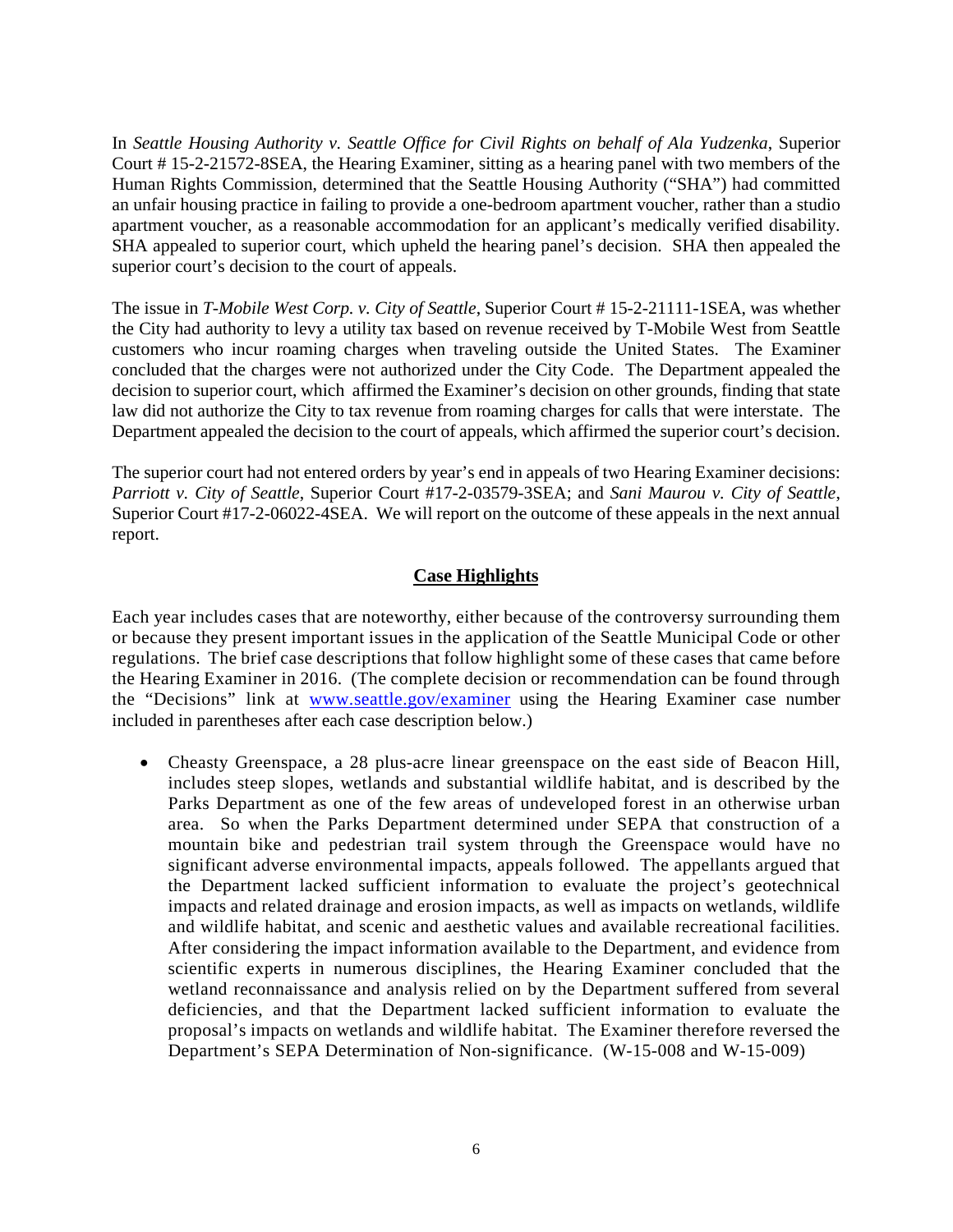In *Seattle Housing Authority v. Seattle Office for Civil Rights on behalf of Ala Yudzenka*, Superior Court # 15-2-21572-8SEA, the Hearing Examiner, sitting as a hearing panel with two members of the Human Rights Commission, determined that the Seattle Housing Authority ("SHA") had committed an unfair housing practice in failing to provide a one-bedroom apartment voucher, rather than a studio apartment voucher, as a reasonable accommodation for an applicant's medically verified disability. SHA appealed to superior court, which upheld the hearing panel's decision. SHA then appealed the superior court's decision to the court of appeals.

The issue in *T-Mobile West Corp. v. City of Seattle*, Superior Court # 15-2-21111-1SEA, was whether the City had authority to levy a utility tax based on revenue received by T-Mobile West from Seattle customers who incur roaming charges when traveling outside the United States. The Examiner concluded that the charges were not authorized under the City Code. The Department appealed the decision to superior court, which affirmed the Examiner's decision on other grounds, finding that state law did not authorize the City to tax revenue from roaming charges for calls that were interstate. The Department appealed the decision to the court of appeals, which affirmed the superior court's decision.

The superior court had not entered orders by year's end in appeals of two Hearing Examiner decisions: *Parriott v. City of Seattle*, Superior Court #17-2-03579-3SEA; and *Sani Maurou v. City of Seattle*, Superior Court #17-2-06022-4SEA. We will report on the outcome of these appeals in the next annual report.

## **Case Highlights**

Each year includes cases that are noteworthy, either because of the controversy surrounding them or because they present important issues in the application of the Seattle Municipal Code or other regulations. The brief case descriptions that follow highlight some of these cases that came before the Hearing Examiner in 2016. (The complete decision or recommendation can be found through the "Decisions" link at [www.seattle.gov/examiner](http://www.seattle.gov/examiner) using the Hearing Examiner case number included in parentheses after each case description below.)

• Cheasty Greenspace, a 28 plus-acre linear greenspace on the east side of Beacon Hill, includes steep slopes, wetlands and substantial wildlife habitat, and is described by the Parks Department as one of the few areas of undeveloped forest in an otherwise urban area. So when the Parks Department determined under SEPA that construction of a mountain bike and pedestrian trail system through the Greenspace would have no significant adverse environmental impacts, appeals followed. The appellants argued that the Department lacked sufficient information to evaluate the project's geotechnical impacts and related drainage and erosion impacts, as well as impacts on wetlands, wildlife and wildlife habitat, and scenic and aesthetic values and available recreational facilities. After considering the impact information available to the Department, and evidence from scientific experts in numerous disciplines, the Hearing Examiner concluded that the wetland reconnaissance and analysis relied on by the Department suffered from several deficiencies, and that the Department lacked sufficient information to evaluate the proposal's impacts on wetlands and wildlife habitat. The Examiner therefore reversed the Department's SEPA Determination of Non-significance. (W-15-008 and W-15-009)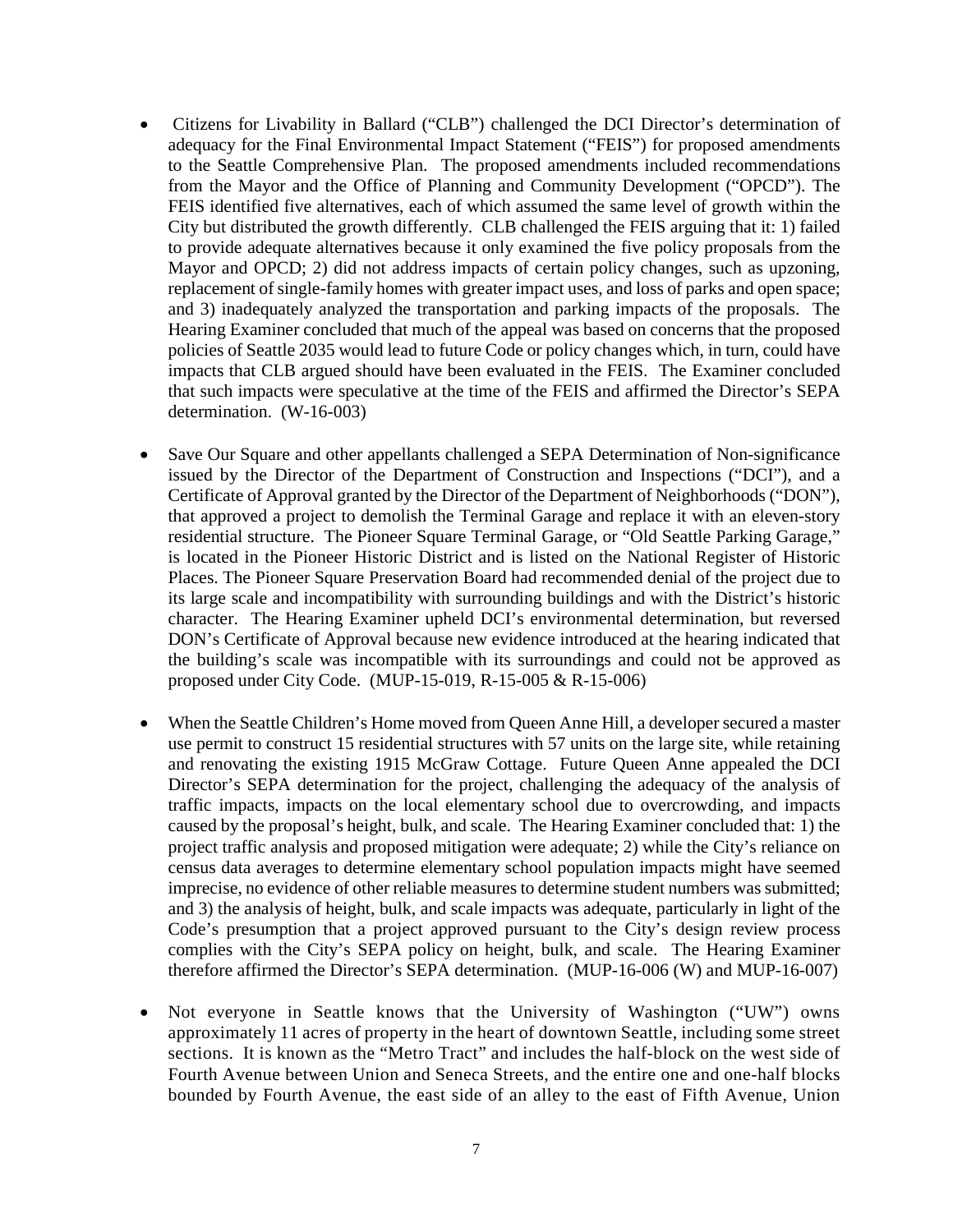- Citizens for Livability in Ballard ("CLB") challenged the DCI Director's determination of adequacy for the Final Environmental Impact Statement ("FEIS") for proposed amendments to the Seattle Comprehensive Plan. The proposed amendments included recommendations from the Mayor and the Office of Planning and Community Development ("OPCD"). The FEIS identified five alternatives, each of which assumed the same level of growth within the City but distributed the growth differently. CLB challenged the FEIS arguing that it: 1) failed to provide adequate alternatives because it only examined the five policy proposals from the Mayor and OPCD; 2) did not address impacts of certain policy changes, such as upzoning, replacement of single-family homes with greater impact uses, and loss of parks and open space; and 3) inadequately analyzed the transportation and parking impacts of the proposals. The Hearing Examiner concluded that much of the appeal was based on concerns that the proposed policies of Seattle 2035 would lead to future Code or policy changes which, in turn, could have impacts that CLB argued should have been evaluated in the FEIS. The Examiner concluded that such impacts were speculative at the time of the FEIS and affirmed the Director's SEPA determination. (W-16-003)
- Save Our Square and other appellants challenged a SEPA Determination of Non-significance issued by the Director of the Department of Construction and Inspections ("DCI"), and a Certificate of Approval granted by the Director of the Department of Neighborhoods ("DON"), that approved a project to demolish the Terminal Garage and replace it with an eleven-story residential structure. The Pioneer Square Terminal Garage, or "Old Seattle Parking Garage," is located in the Pioneer Historic District and is listed on the National Register of Historic Places. The Pioneer Square Preservation Board had recommended denial of the project due to its large scale and incompatibility with surrounding buildings and with the District's historic character. The Hearing Examiner upheld DCI's environmental determination, but reversed DON's Certificate of Approval because new evidence introduced at the hearing indicated that the building's scale was incompatible with its surroundings and could not be approved as proposed under City Code. (MUP-15-019, R-15-005 & R-15-006)
- When the Seattle Children's Home moved from Queen Anne Hill, a developer secured a master use permit to construct 15 residential structures with 57 units on the large site, while retaining and renovating the existing 1915 McGraw Cottage. Future Queen Anne appealed the DCI Director's SEPA determination for the project, challenging the adequacy of the analysis of traffic impacts, impacts on the local elementary school due to overcrowding, and impacts caused by the proposal's height, bulk, and scale. The Hearing Examiner concluded that: 1) the project traffic analysis and proposed mitigation were adequate; 2) while the City's reliance on census data averages to determine elementary school population impacts might have seemed imprecise, no evidence of other reliable measures to determine student numbers was submitted; and 3) the analysis of height, bulk, and scale impacts was adequate, particularly in light of the Code's presumption that a project approved pursuant to the City's design review process complies with the City's SEPA policy on height, bulk, and scale. The Hearing Examiner therefore affirmed the Director's SEPA determination. (MUP-16-006 (W) and MUP-16-007)
- Not everyone in Seattle knows that the University of Washington ("UW") owns approximately 11 acres of property in the heart of downtown Seattle, including some street sections. It is known as the "Metro Tract" and includes the half-block on the west side of Fourth Avenue between Union and Seneca Streets, and the entire one and one-half blocks bounded by Fourth Avenue, the east side of an alley to the east of Fifth Avenue, Union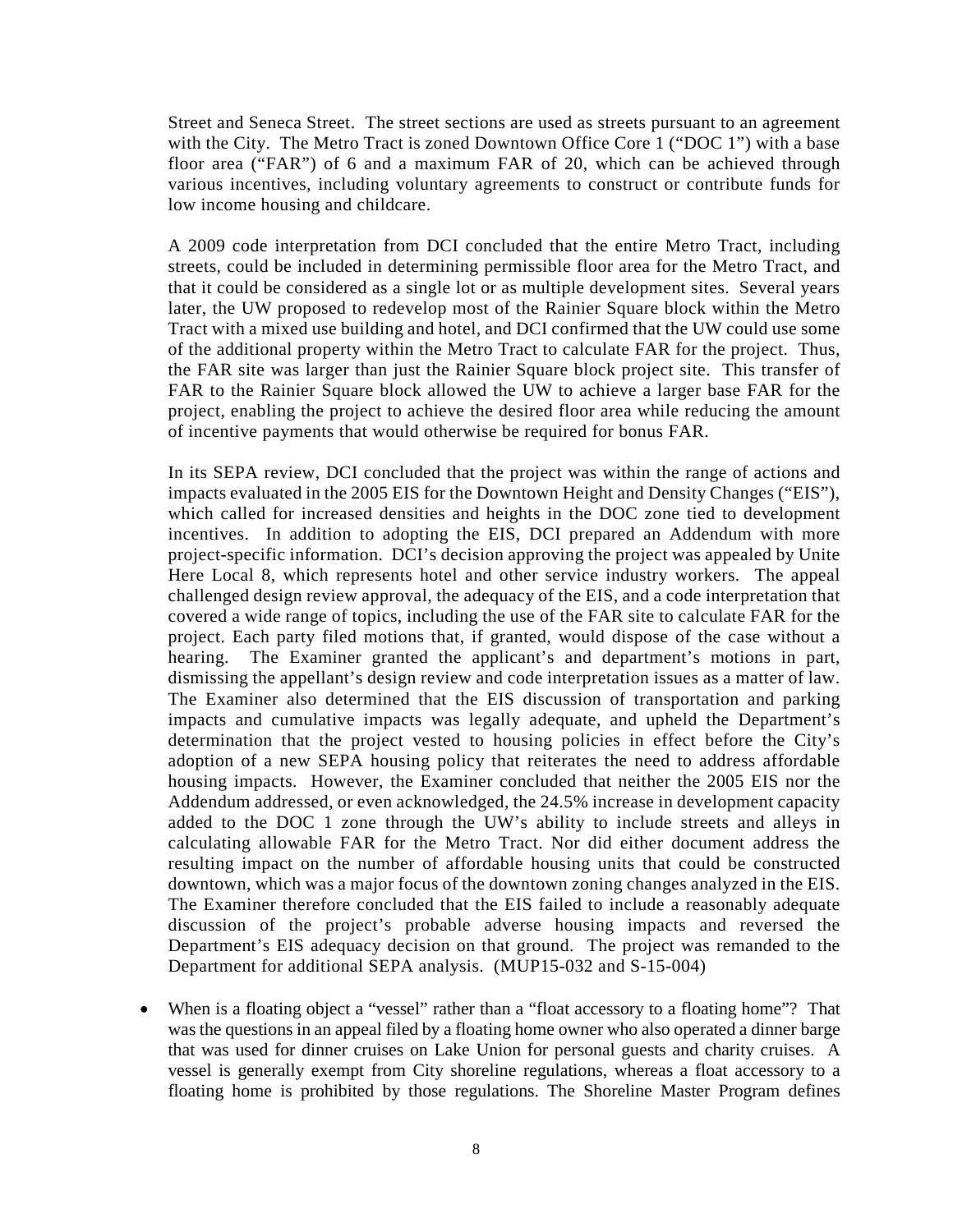Street and Seneca Street. The street sections are used as streets pursuant to an agreement with the City. The Metro Tract is zoned Downtown Office Core 1 ("DOC 1") with a base floor area ("FAR") of 6 and a maximum FAR of 20, which can be achieved through various incentives, including voluntary agreements to construct or contribute funds for low income housing and childcare.

A 2009 code interpretation from DCI concluded that the entire Metro Tract, including streets, could be included in determining permissible floor area for the Metro Tract, and that it could be considered as a single lot or as multiple development sites. Several years later, the UW proposed to redevelop most of the Rainier Square block within the Metro Tract with a mixed use building and hotel, and DCI confirmed that the UW could use some of the additional property within the Metro Tract to calculate FAR for the project. Thus, the FAR site was larger than just the Rainier Square block project site. This transfer of FAR to the Rainier Square block allowed the UW to achieve a larger base FAR for the project, enabling the project to achieve the desired floor area while reducing the amount of incentive payments that would otherwise be required for bonus FAR.

In its SEPA review, DCI concluded that the project was within the range of actions and impacts evaluated in the 2005 EIS for the Downtown Height and Density Changes ("EIS"), which called for increased densities and heights in the DOC zone tied to development incentives. In addition to adopting the EIS, DCI prepared an Addendum with more project-specific information. DCI's decision approving the project was appealed by Unite Here Local 8, which represents hotel and other service industry workers. The appeal challenged design review approval, the adequacy of the EIS, and a code interpretation that covered a wide range of topics, including the use of the FAR site to calculate FAR for the project. Each party filed motions that, if granted, would dispose of the case without a hearing. The Examiner granted the applicant's and department's motions in part, dismissing the appellant's design review and code interpretation issues as a matter of law. The Examiner also determined that the EIS discussion of transportation and parking impacts and cumulative impacts was legally adequate, and upheld the Department's determination that the project vested to housing policies in effect before the City's adoption of a new SEPA housing policy that reiterates the need to address affordable housing impacts. However, the Examiner concluded that neither the 2005 EIS nor the Addendum addressed, or even acknowledged, the 24.5% increase in development capacity added to the DOC 1 zone through the UW's ability to include streets and alleys in calculating allowable FAR for the Metro Tract. Nor did either document address the resulting impact on the number of affordable housing units that could be constructed downtown, which was a major focus of the downtown zoning changes analyzed in the EIS. The Examiner therefore concluded that the EIS failed to include a reasonably adequate discussion of the project's probable adverse housing impacts and reversed the Department's EIS adequacy decision on that ground. The project was remanded to the Department for additional SEPA analysis. (MUP15-032 and S-15-004)

• When is a floating object a "vessel" rather than a "float accessory to a floating home"? That was the questions in an appeal filed by a floating home owner who also operated a dinner barge that was used for dinner cruises on Lake Union for personal guests and charity cruises. A vessel is generally exempt from City shoreline regulations, whereas a float accessory to a floating home is prohibited by those regulations. The Shoreline Master Program defines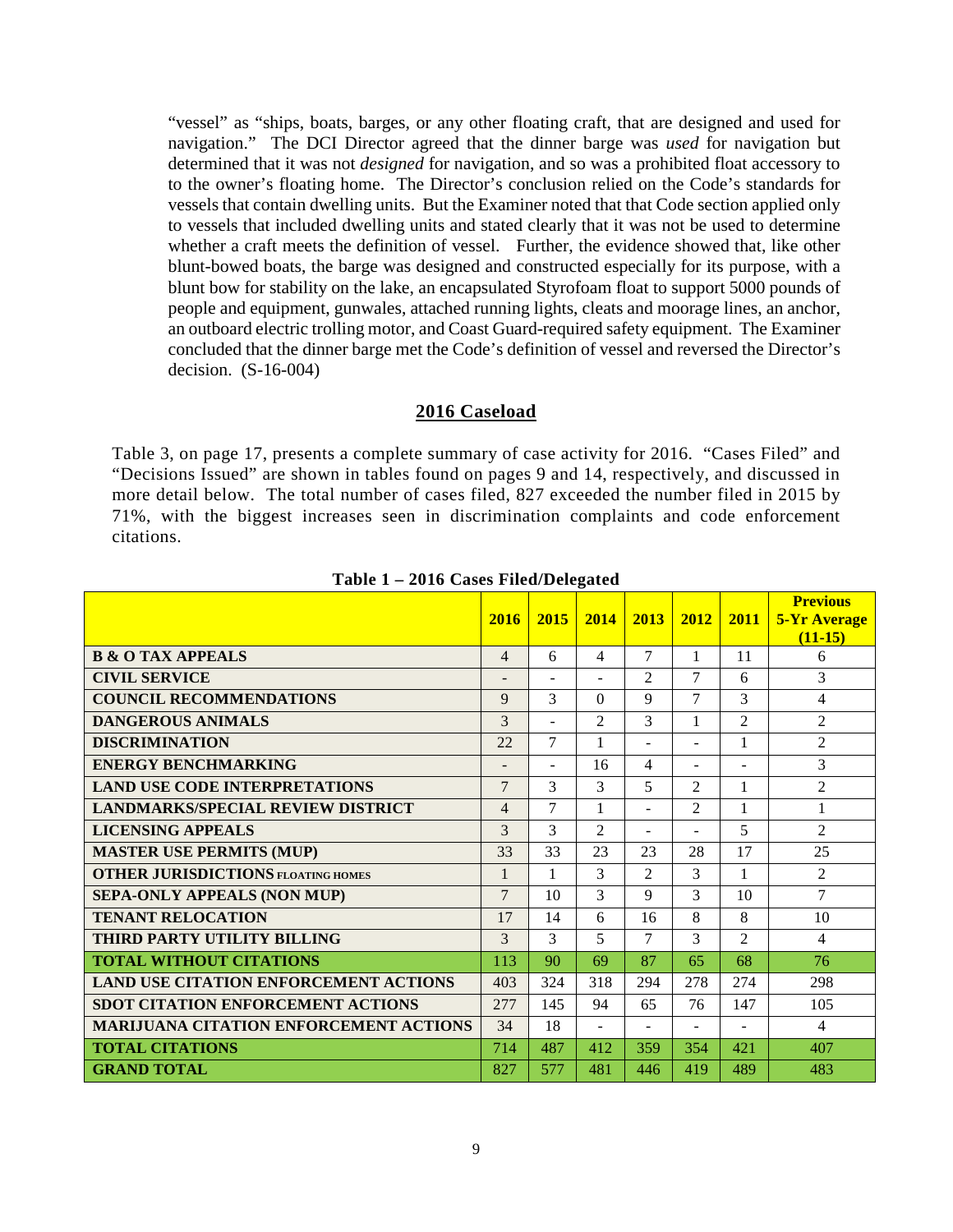"vessel" as "ships, boats, barges, or any other floating craft, that are designed and used for navigation." The DCI Director agreed that the dinner barge was *used* for navigation but determined that it was not *designed* for navigation, and so was a prohibited float accessory to to the owner's floating home. The Director's conclusion relied on the Code's standards for vessels that contain dwelling units. But the Examiner noted that that Code section applied only to vessels that included dwelling units and stated clearly that it was not be used to determine whether a craft meets the definition of vessel. Further, the evidence showed that, like other blunt-bowed boats, the barge was designed and constructed especially for its purpose, with a blunt bow for stability on the lake, an encapsulated Styrofoam float to support 5000 pounds of people and equipment, gunwales, attached running lights, cleats and moorage lines, an anchor, an outboard electric trolling motor, and Coast Guard-required safety equipment. The Examiner concluded that the dinner barge met the Code's definition of vessel and reversed the Director's decision. (S-16-004)

#### **2016 Caseload**

Table 3, on page 17, presents a complete summary of case activity for 2016. "Cases Filed" and "Decisions Issued" are shown in tables found on pages 9 and 14, respectively, and discussed in more detail below. The total number of cases filed, 827 exceeded the number filed in 2015 by 71%, with the biggest increases seen in discrimination complaints and code enforcement citations.

|                                               | 2016                     | 2015           | 2014           | 2013           | 2012           | 2011           | <b>Previous</b><br><b>5-Yr Average</b><br>$(11-15)$ |
|-----------------------------------------------|--------------------------|----------------|----------------|----------------|----------------|----------------|-----------------------------------------------------|
| <b>B &amp; O TAX APPEALS</b>                  | $\overline{4}$           | 6              | $\overline{4}$ | 7              | 1              | 11             | 6                                                   |
| <b>CIVIL SERVICE</b>                          |                          | $\blacksquare$ | $\sim$         | $\mathfrak{D}$ | $\overline{7}$ | 6              | 3                                                   |
| <b>COUNCIL RECOMMENDATIONS</b>                | 9                        | 3              | $\Omega$       | 9              | $\tau$         | 3              | 4                                                   |
| <b>DANGEROUS ANIMALS</b>                      | $\overline{\mathcal{E}}$ | $\sim$         | $\mathfrak{D}$ | 3              | 1              | $\mathfrak{D}$ | $\overline{2}$                                      |
| <b>DISCRIMINATION</b>                         | 22                       | 7              | $\mathbf{1}$   | ٠              | ٠              | 1              | $\overline{c}$                                      |
| <b>ENERGY BENCHMARKING</b>                    | $\overline{\phantom{a}}$ | $\sim$         | 16             | 4              | ÷.             | ٠              | 3                                                   |
| <b>LAND USE CODE INTERPRETATIONS</b>          | $\overline{7}$           | 3              | $\mathcal{E}$  | 5              | $\mathfrak{D}$ | $\mathbf{1}$   | $\overline{2}$                                      |
| <b>LANDMARKS/SPECIAL REVIEW DISTRICT</b>      | $\overline{4}$           | 7              | 1              | ٠              | $\mathfrak{D}$ | 1              | $\mathbf{1}$                                        |
| <b>LICENSING APPEALS</b>                      | $\mathcal{E}$            | 3              | 2              | $\sim$         | ÷.             | 5              | $\overline{2}$                                      |
| <b>MASTER USE PERMITS (MUP)</b>               | 33                       | 33             | 23             | 23             | 28             | 17             | 25                                                  |
| <b>OTHER JURISDICTIONS FLOATING HOMES</b>     | $\mathbf{1}$             | 1              | $\mathcal{E}$  | $\mathfrak{D}$ | 3              | $\mathbf{1}$   | $\overline{2}$                                      |
| <b>SEPA-ONLY APPEALS (NON MUP)</b>            | $\overline{7}$           | 10             | 3              | 9              | 3              | 10             | 7                                                   |
| <b>TENANT RELOCATION</b>                      | 17                       | 14             | 6              | 16             | $\mathbf{8}$   | 8              | 10                                                  |
| THIRD PARTY UTILITY BILLING                   | $\mathcal{E}$            | 3              | 5              | 7              | 3              | $\overline{2}$ | 4                                                   |
| <b>TOTAL WITHOUT CITATIONS</b>                | 113                      | 90             | 69             | 87             | 65             | 68             | 76                                                  |
| <b>LAND USE CITATION ENFORCEMENT ACTIONS</b>  | 403                      | 324            | 318            | 294            | 278            | 274            | 298                                                 |
| SDOT CITATION ENFORCEMENT ACTIONS             | 2.77                     | 145            | 94             | 65             | 76             | 147            | 105                                                 |
| <b>MARIJUANA CITATION ENFORCEMENT ACTIONS</b> | 34                       | 18             | $\sim$         | $\sim$         | ÷.             | $\sim$         | 4                                                   |
| <b>TOTAL CITATIONS</b>                        | 714                      | 487            | 412            | 359            | 354            | 421            | 407                                                 |
| <b>GRAND TOTAL</b>                            | 827                      | 577            | 481            | 446            | 419            | 489            | 483                                                 |

**Table 1 – 2016 Cases Filed/Delegated**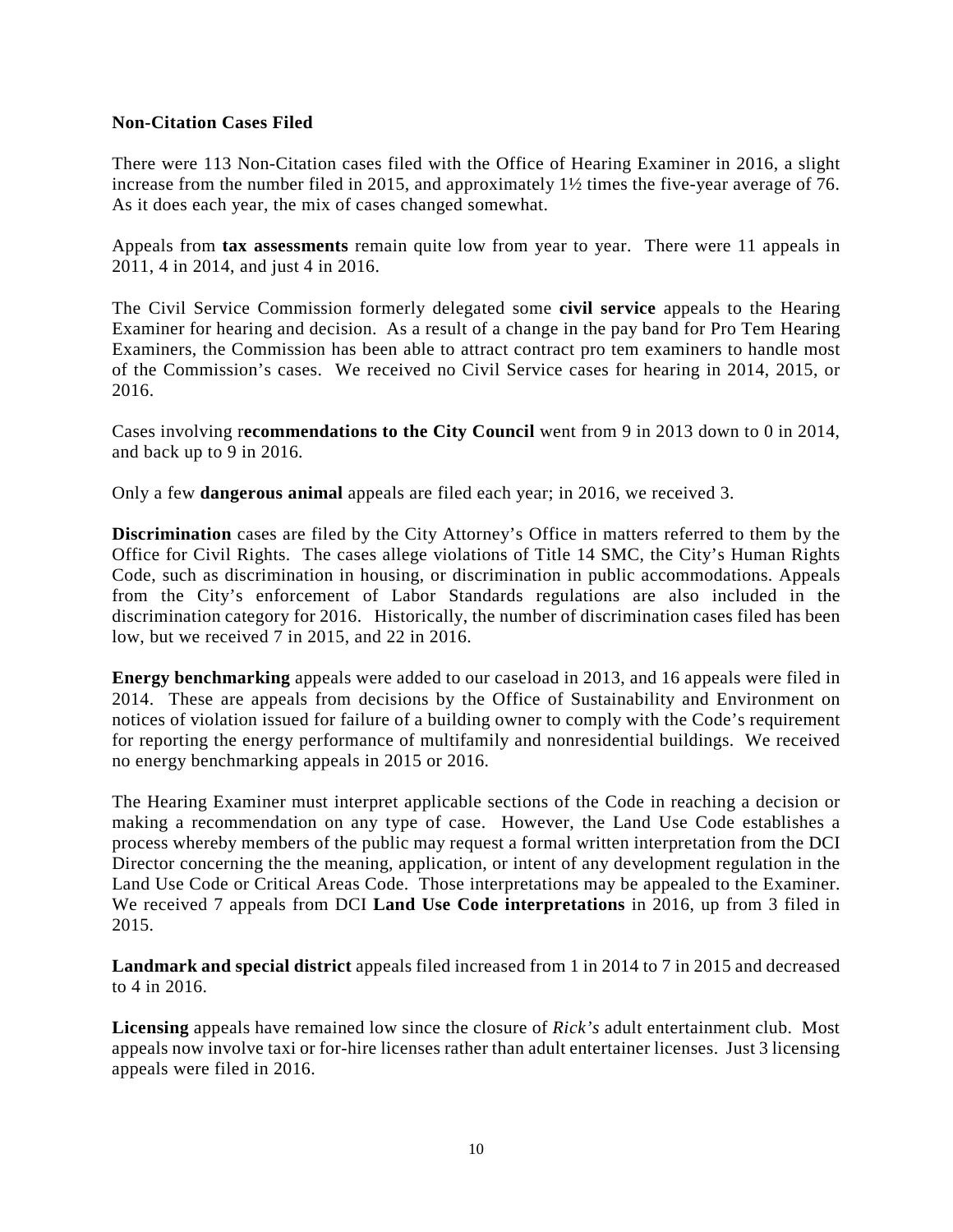## **Non-Citation Cases Filed**

There were 113 Non-Citation cases filed with the Office of Hearing Examiner in 2016, a slight increase from the number filed in 2015, and approximately 1½ times the five-year average of 76. As it does each year, the mix of cases changed somewhat.

Appeals from **tax assessments** remain quite low from year to year. There were 11 appeals in 2011, 4 in 2014, and just 4 in 2016.

The Civil Service Commission formerly delegated some **civil service** appeals to the Hearing Examiner for hearing and decision. As a result of a change in the pay band for Pro Tem Hearing Examiners, the Commission has been able to attract contract pro tem examiners to handle most of the Commission's cases. We received no Civil Service cases for hearing in 2014, 2015, or 2016.

Cases involving r**ecommendations to the City Council** went from 9 in 2013 down to 0 in 2014, and back up to 9 in 2016.

Only a few **dangerous animal** appeals are filed each year; in 2016, we received 3.

**Discrimination** cases are filed by the City Attorney's Office in matters referred to them by the Office for Civil Rights. The cases allege violations of Title 14 SMC, the City's Human Rights Code, such as discrimination in housing, or discrimination in public accommodations. Appeals from the City's enforcement of Labor Standards regulations are also included in the discrimination category for 2016. Historically, the number of discrimination cases filed has been low, but we received 7 in 2015, and 22 in 2016.

**Energy benchmarking** appeals were added to our caseload in 2013, and 16 appeals were filed in 2014. These are appeals from decisions by the Office of Sustainability and Environment on notices of violation issued for failure of a building owner to comply with the Code's requirement for reporting the energy performance of multifamily and nonresidential buildings. We received no energy benchmarking appeals in 2015 or 2016.

The Hearing Examiner must interpret applicable sections of the Code in reaching a decision or making a recommendation on any type of case. However, the Land Use Code establishes a process whereby members of the public may request a formal written interpretation from the DCI Director concerning the the meaning, application, or intent of any development regulation in the Land Use Code or Critical Areas Code. Those interpretations may be appealed to the Examiner. We received 7 appeals from DCI **Land Use Code interpretations** in 2016, up from 3 filed in 2015.

**Landmark and special district** appeals filed increased from 1 in 2014 to 7 in 2015 and decreased to 4 in 2016.

**Licensing** appeals have remained low since the closure of *Rick's* adult entertainment club. Most appeals now involve taxi or for-hire licenses rather than adult entertainer licenses. Just 3 licensing appeals were filed in 2016.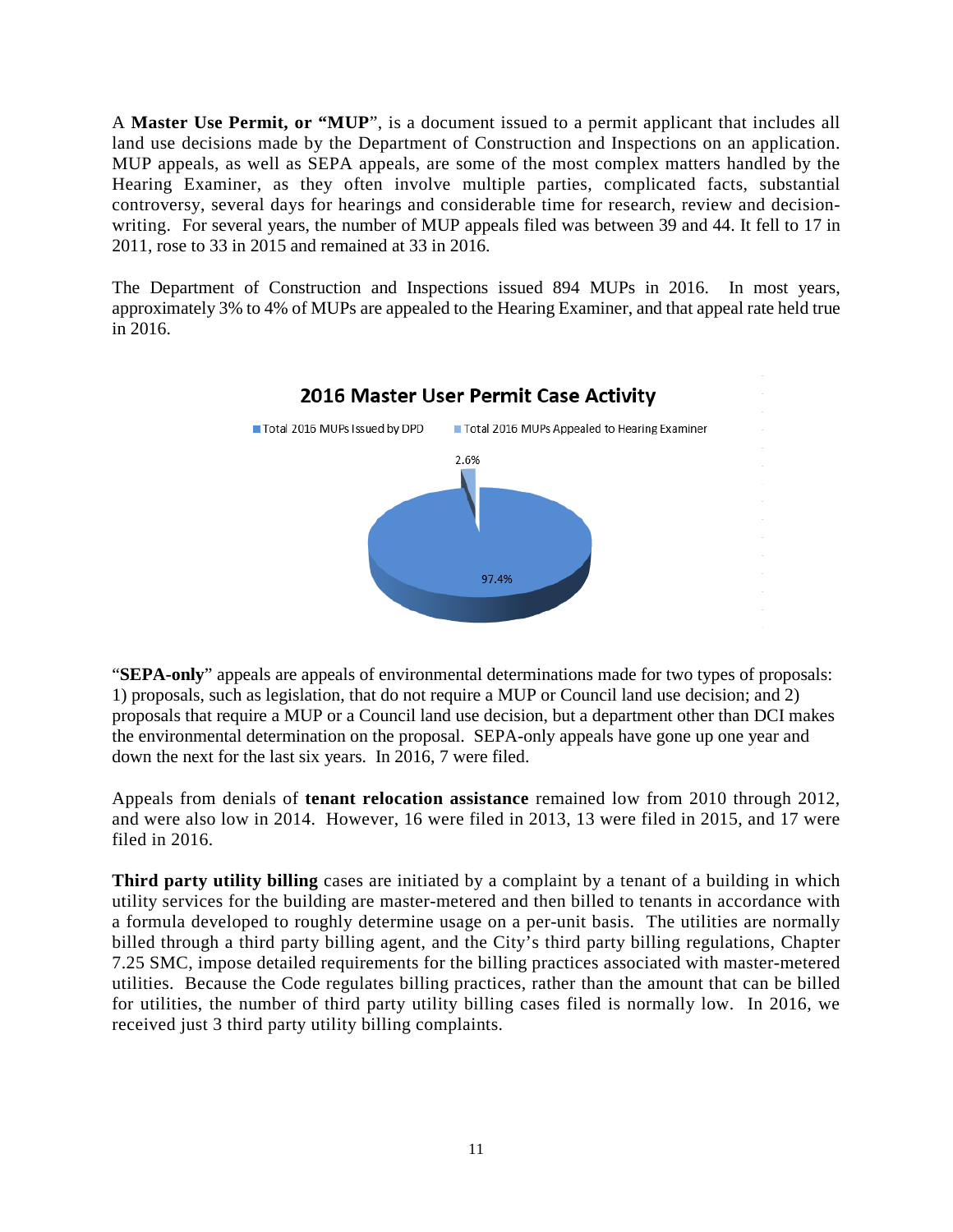A **Master Use Permit, or "MUP**", is a document issued to a permit applicant that includes all land use decisions made by the Department of Construction and Inspections on an application. MUP appeals, as well as SEPA appeals, are some of the most complex matters handled by the Hearing Examiner, as they often involve multiple parties, complicated facts, substantial controversy, several days for hearings and considerable time for research, review and decisionwriting. For several years, the number of MUP appeals filed was between 39 and 44. It fell to 17 in 2011, rose to 33 in 2015 and remained at 33 in 2016.

The Department of Construction and Inspections issued 894 MUPs in 2016. In most years, approximately 3% to 4% of MUPs are appealed to the Hearing Examiner, and that appeal rate held true in 2016.



"**SEPA-only**" appeals are appeals of environmental determinations made for two types of proposals: 1) proposals, such as legislation, that do not require a MUP or Council land use decision; and 2) proposals that require a MUP or a Council land use decision, but a department other than DCI makes the environmental determination on the proposal. SEPA-only appeals have gone up one year and down the next for the last six years. In 2016, 7 were filed.

Appeals from denials of **tenant relocation assistance** remained low from 2010 through 2012, and were also low in 2014. However, 16 were filed in 2013, 13 were filed in 2015, and 17 were filed in 2016.

**Third party utility billing** cases are initiated by a complaint by a tenant of a building in which utility services for the building are master-metered and then billed to tenants in accordance with a formula developed to roughly determine usage on a per-unit basis. The utilities are normally billed through a third party billing agent, and the City's third party billing regulations, Chapter 7.25 SMC, impose detailed requirements for the billing practices associated with master-metered utilities. Because the Code regulates billing practices, rather than the amount that can be billed for utilities, the number of third party utility billing cases filed is normally low. In 2016, we received just 3 third party utility billing complaints.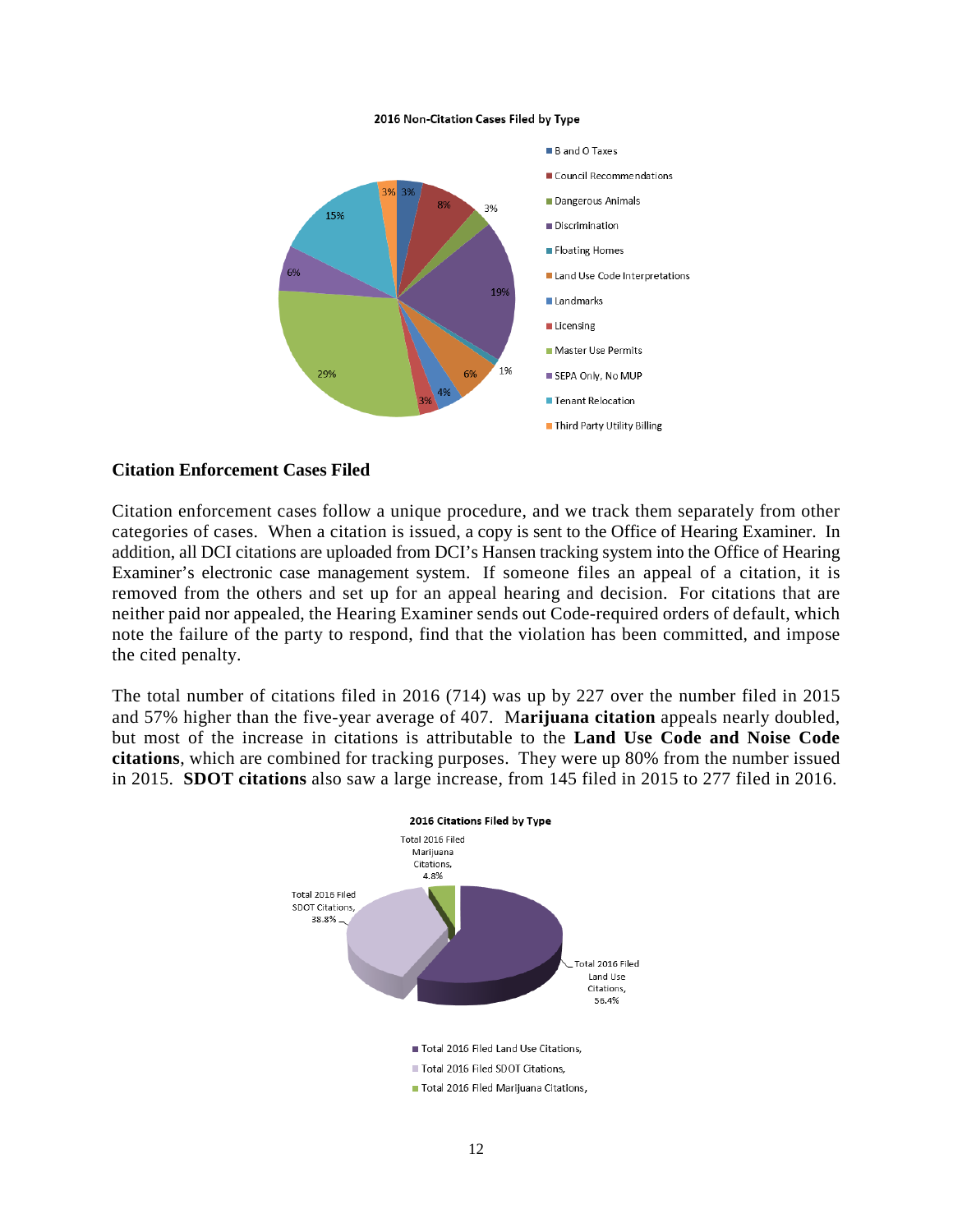#### 2016 Non-Citation Cases Filed by Type



#### **Citation Enforcement Cases Filed**

Citation enforcement cases follow a unique procedure, and we track them separately from other categories of cases. When a citation is issued, a copy is sent to the Office of Hearing Examiner. In addition, all DCI citations are uploaded from DCI's Hansen tracking system into the Office of Hearing Examiner's electronic case management system. If someone files an appeal of a citation, it is removed from the others and set up for an appeal hearing and decision. For citations that are neither paid nor appealed, the Hearing Examiner sends out Code-required orders of default, which note the failure of the party to respond, find that the violation has been committed, and impose the cited penalty.

The total number of citations filed in 2016 (714) was up by 227 over the number filed in 2015 and 57% higher than the five-year average of 407. M**arijuana citation** appeals nearly doubled, but most of the increase in citations is attributable to the **Land Use Code and Noise Code citations**, which are combined for tracking purposes. They were up 80% from the number issued in 2015. **SDOT citations** also saw a large increase, from 145 filed in 2015 to 277 filed in 2016.

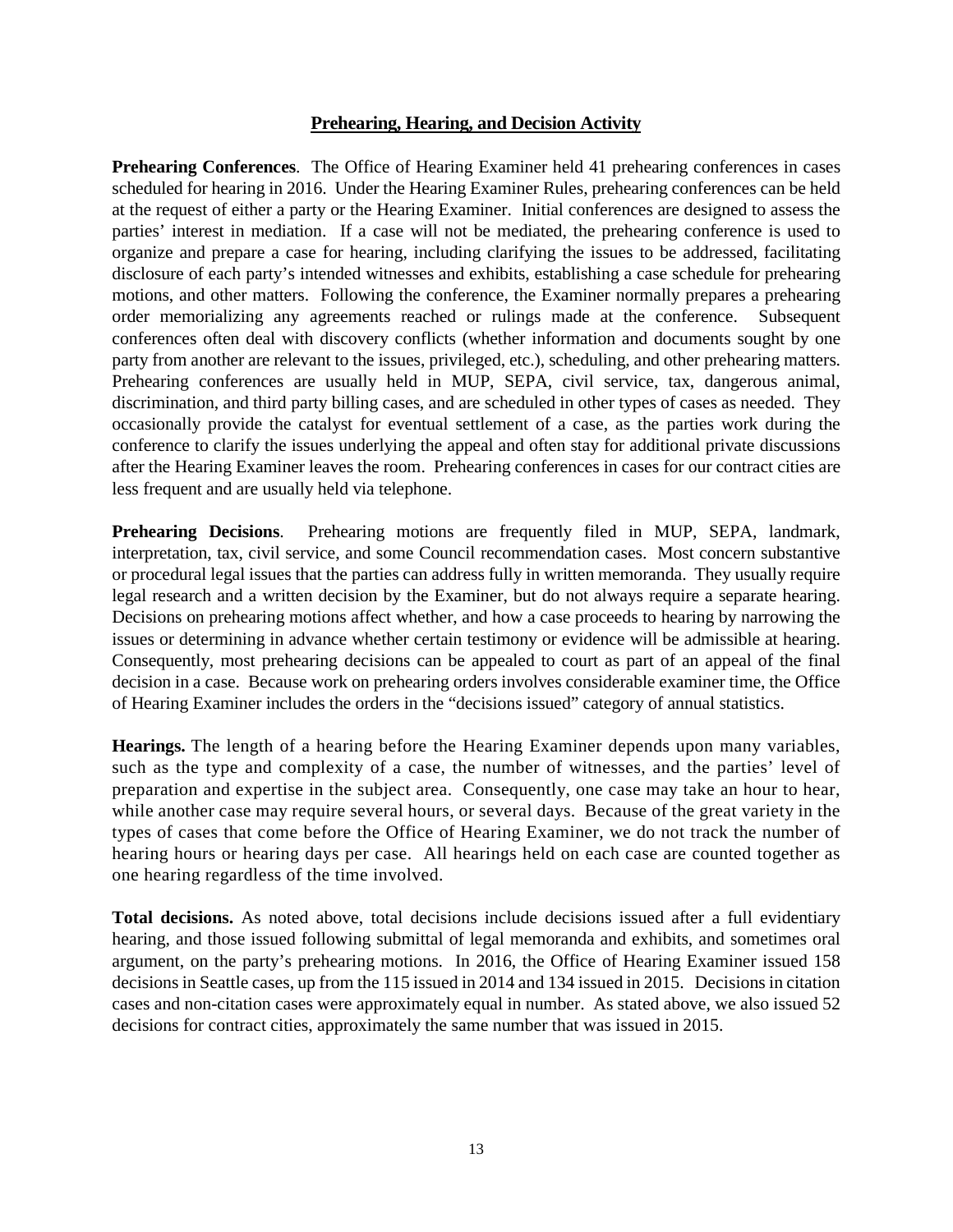## **Prehearing, Hearing, and Decision Activity**

**Prehearing Conferences**. The Office of Hearing Examiner held 41 prehearing conferences in cases scheduled for hearing in 2016. Under the Hearing Examiner Rules, prehearing conferences can be held at the request of either a party or the Hearing Examiner. Initial conferences are designed to assess the parties' interest in mediation. If a case will not be mediated, the prehearing conference is used to organize and prepare a case for hearing, including clarifying the issues to be addressed, facilitating disclosure of each party's intended witnesses and exhibits, establishing a case schedule for prehearing motions, and other matters. Following the conference, the Examiner normally prepares a prehearing order memorializing any agreements reached or rulings made at the conference. Subsequent conferences often deal with discovery conflicts (whether information and documents sought by one party from another are relevant to the issues, privileged, etc.), scheduling, and other prehearing matters. Prehearing conferences are usually held in MUP, SEPA, civil service, tax, dangerous animal, discrimination, and third party billing cases, and are scheduled in other types of cases as needed. They occasionally provide the catalyst for eventual settlement of a case, as the parties work during the conference to clarify the issues underlying the appeal and often stay for additional private discussions after the Hearing Examiner leaves the room. Prehearing conferences in cases for our contract cities are less frequent and are usually held via telephone.

**Prehearing Decisions**. Prehearing motions are frequently filed in MUP, SEPA, landmark, interpretation, tax, civil service, and some Council recommendation cases. Most concern substantive or procedural legal issues that the parties can address fully in written memoranda. They usually require legal research and a written decision by the Examiner, but do not always require a separate hearing. Decisions on prehearing motions affect whether, and how a case proceeds to hearing by narrowing the issues or determining in advance whether certain testimony or evidence will be admissible at hearing. Consequently, most prehearing decisions can be appealed to court as part of an appeal of the final decision in a case. Because work on prehearing orders involves considerable examiner time, the Office of Hearing Examiner includes the orders in the "decisions issued" category of annual statistics.

**Hearings.** The length of a hearing before the Hearing Examiner depends upon many variables, such as the type and complexity of a case, the number of witnesses, and the parties' level of preparation and expertise in the subject area. Consequently, one case may take an hour to hear, while another case may require several hours, or several days. Because of the great variety in the types of cases that come before the Office of Hearing Examiner, we do not track the number of hearing hours or hearing days per case. All hearings held on each case are counted together as one hearing regardless of the time involved.

**Total decisions.** As noted above, total decisions include decisions issued after a full evidentiary hearing, and those issued following submittal of legal memoranda and exhibits, and sometimes oral argument, on the party's prehearing motions. In 2016, the Office of Hearing Examiner issued 158 decisions in Seattle cases, up from the 115 issued in 2014 and 134 issued in 2015. Decisions in citation cases and non-citation cases were approximately equal in number. As stated above, we also issued 52 decisions for contract cities, approximately the same number that was issued in 2015.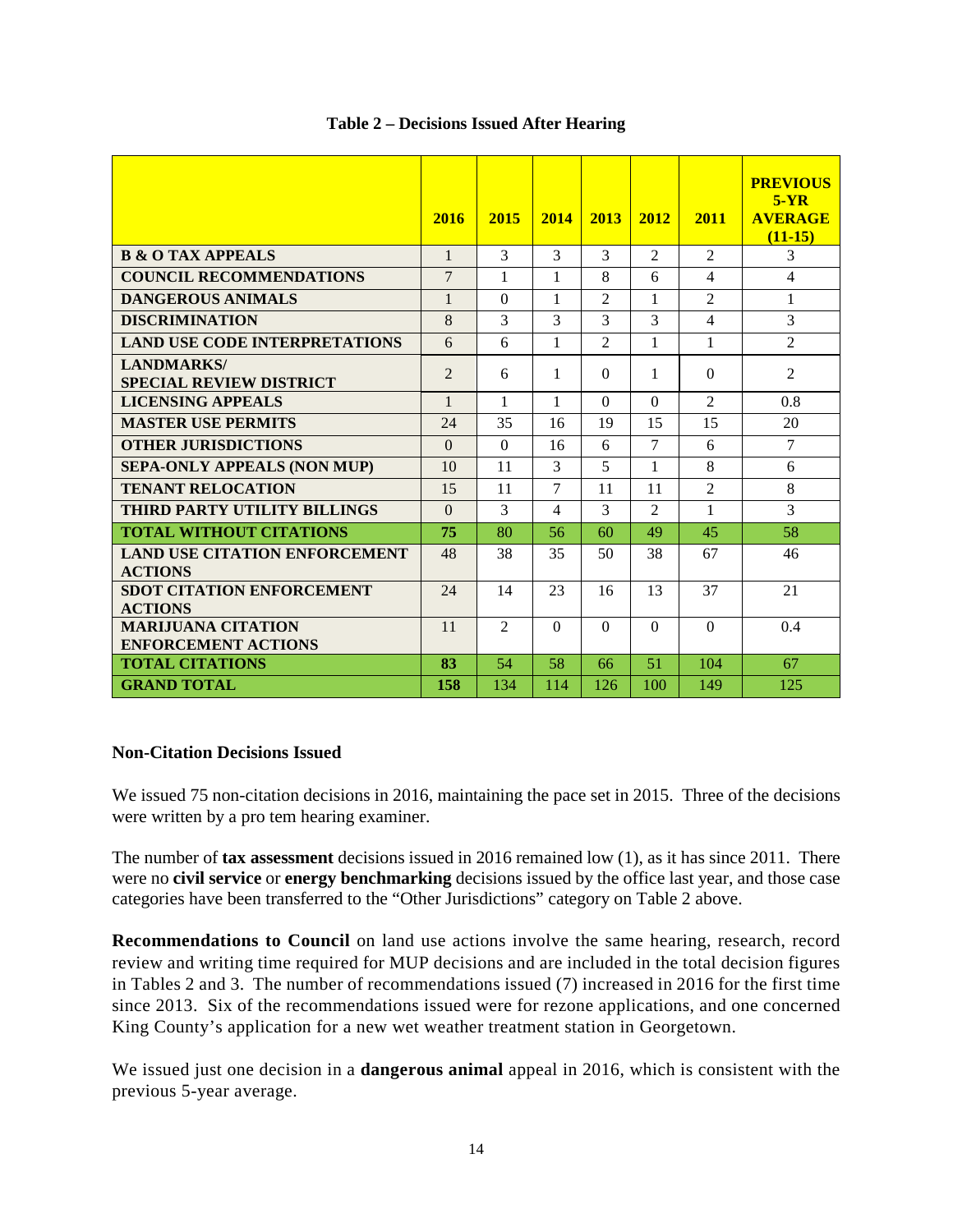|                                                         | 2016           | 2015           | 2014         | 2013           | 2012           | 2011                     | <b>PREVIOUS</b><br>$5-YR$<br><b>AVERAGE</b><br>$(11-15)$ |
|---------------------------------------------------------|----------------|----------------|--------------|----------------|----------------|--------------------------|----------------------------------------------------------|
| <b>B &amp; O TAX APPEALS</b>                            | $\mathbf{1}$   | $\overline{3}$ | 3            | 3              | $\mathfrak{D}$ | $\mathfrak{D}$           | 3                                                        |
| <b>COUNCIL RECOMMENDATIONS</b>                          | $\overline{7}$ | $\mathbf{1}$   | 1            | 8              | 6              | 4                        | 4                                                        |
| <b>DANGEROUS ANIMALS</b>                                | $\mathbf{1}$   | $\Omega$       | $\mathbf{1}$ | $\mathfrak{D}$ | $\mathbf{1}$   | $\mathfrak{D}$           | $\mathbf{1}$                                             |
| <b>DISCRIMINATION</b>                                   | 8              | 3              | 3            | 3              | 3              | $\overline{\mathcal{L}}$ | 3                                                        |
| <b>LAND USE CODE INTERPRETATIONS</b>                    | 6              | 6              | $\mathbf{1}$ | $\overline{2}$ | $\mathbf{1}$   | $\mathbf{1}$             | $\overline{2}$                                           |
| <b>LANDMARKS/</b><br><b>SPECIAL REVIEW DISTRICT</b>     | $\overline{2}$ | 6              | 1            | $\Omega$       | 1              | $\Omega$                 | $\overline{2}$                                           |
| <b>LICENSING APPEALS</b>                                | $\mathbf{1}$   | 1              | $\mathbf{1}$ | $\Omega$       | $\Omega$       | $\mathfrak{D}$           | 0.8                                                      |
| <b>MASTER USE PERMITS</b>                               | 24             | 35             | 16           | 19             | 15             | 15                       | 20                                                       |
| <b>OTHER JURISDICTIONS</b>                              | $\theta$       | $\Omega$       | 16           | 6              | 7              | 6                        | $\tau$                                                   |
| <b>SEPA-ONLY APPEALS (NON MUP)</b>                      | 10             | 11             | 3            | 5              | 1              | 8                        | 6                                                        |
| <b>TENANT RELOCATION</b>                                | 15             | 11             | 7            | 11             | 11             | $\overline{2}$           | 8                                                        |
| <b>THIRD PARTY UTILITY BILLINGS</b>                     | $\theta$       | 3              | 4            | 3              | $\mathfrak{D}$ | 1                        | 3                                                        |
| <b>TOTAL WITHOUT CITATIONS</b>                          | 75             | 80             | 56           | 60             | 49             | 45                       | 58                                                       |
| <b>LAND USE CITATION ENFORCEMENT</b><br><b>ACTIONS</b>  | 48             | 38             | 35           | 50             | 38             | 67                       | 46                                                       |
| <b>SDOT CITATION ENFORCEMENT</b><br><b>ACTIONS</b>      | 24             | 14             | 23           | 16             | 13             | 37                       | 21                                                       |
| <b>MARIJUANA CITATION</b><br><b>ENFORCEMENT ACTIONS</b> | 11             | $\mathfrak{D}$ | $\Omega$     | $\Omega$       | $\Omega$       | $\Omega$                 | 0.4                                                      |
| <b>TOTAL CITATIONS</b>                                  | 83             | 54             | 58           | 66             | 51             | 104                      | 67                                                       |
| <b>GRAND TOTAL</b>                                      | 158            | 134            | 114          | 126            | 100            | 149                      | 125                                                      |

#### **Table 2 – Decisions Issued After Hearing**

## **Non-Citation Decisions Issued**

We issued 75 non-citation decisions in 2016, maintaining the pace set in 2015. Three of the decisions were written by a pro tem hearing examiner.

The number of **tax assessment** decisions issued in 2016 remained low (1), as it has since 2011. There were no **civil service** or **energy benchmarking** decisions issued by the office last year, and those case categories have been transferred to the "Other Jurisdictions" category on Table 2 above.

**Recommendations to Council** on land use actions involve the same hearing, research, record review and writing time required for MUP decisions and are included in the total decision figures in Tables 2 and 3. The number of recommendations issued (7) increased in 2016 for the first time since 2013. Six of the recommendations issued were for rezone applications, and one concerned King County's application for a new wet weather treatment station in Georgetown.

We issued just one decision in a **dangerous animal** appeal in 2016, which is consistent with the previous 5-year average.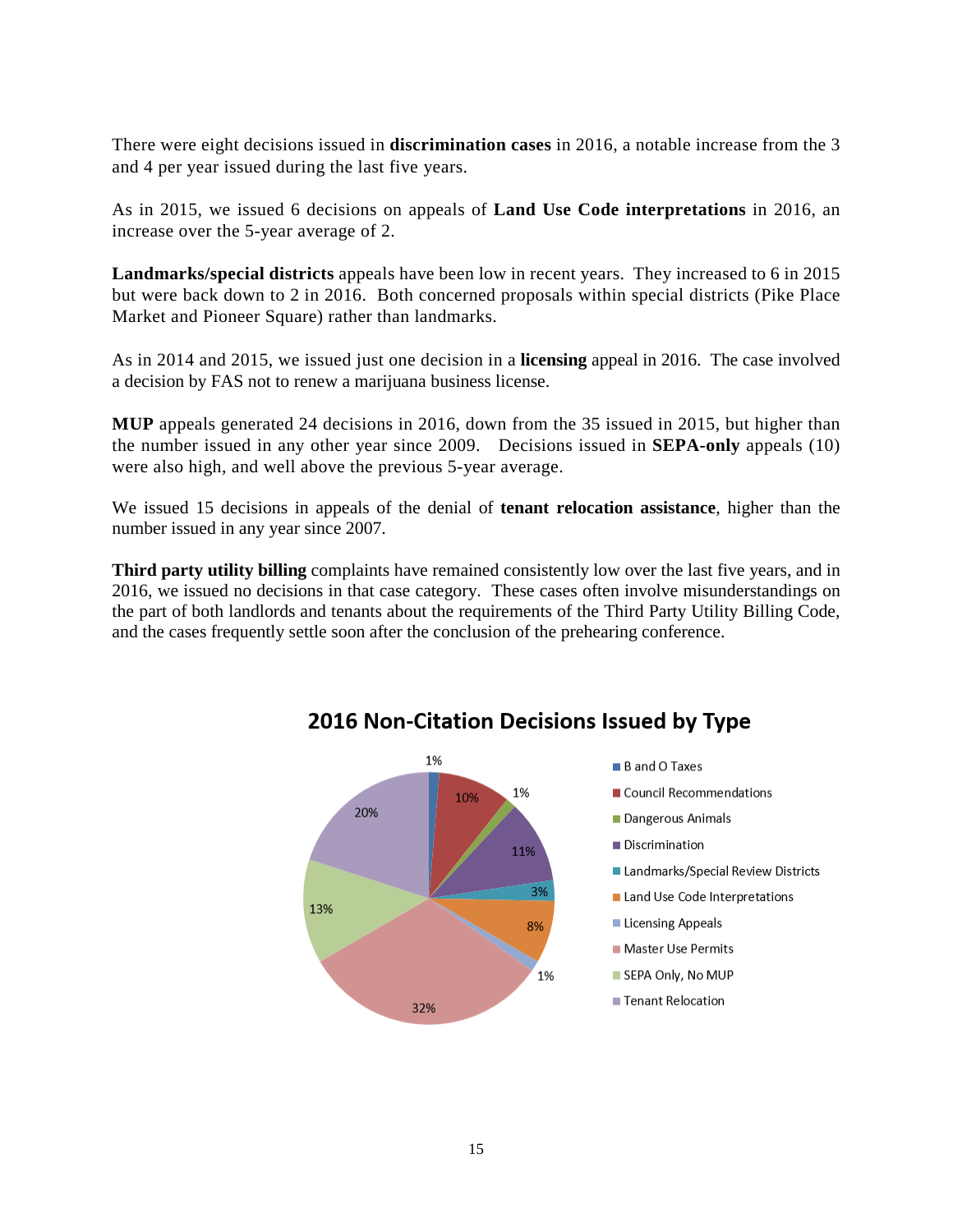There were eight decisions issued in **discrimination cases** in 2016, a notable increase from the 3 and 4 per year issued during the last five years.

As in 2015, we issued 6 decisions on appeals of **Land Use Code interpretations** in 2016, an increase over the 5-year average of 2.

**Landmarks/special districts** appeals have been low in recent years. They increased to 6 in 2015 but were back down to 2 in 2016. Both concerned proposals within special districts (Pike Place Market and Pioneer Square) rather than landmarks.

As in 2014 and 2015, we issued just one decision in a **licensing** appeal in 2016. The case involved a decision by FAS not to renew a marijuana business license.

**MUP** appeals generated 24 decisions in 2016, down from the 35 issued in 2015, but higher than the number issued in any other year since 2009. Decisions issued in **SEPA-only** appeals (10) were also high, and well above the previous 5-year average.

We issued 15 decisions in appeals of the denial of **tenant relocation assistance**, higher than the number issued in any year since 2007.

**Third party utility billing** complaints have remained consistently low over the last five years, and in 2016, we issued no decisions in that case category. These cases often involve misunderstandings on the part of both landlords and tenants about the requirements of the Third Party Utility Billing Code, and the cases frequently settle soon after the conclusion of the prehearing conference.



## **2016 Non-Citation Decisions Issued by Type**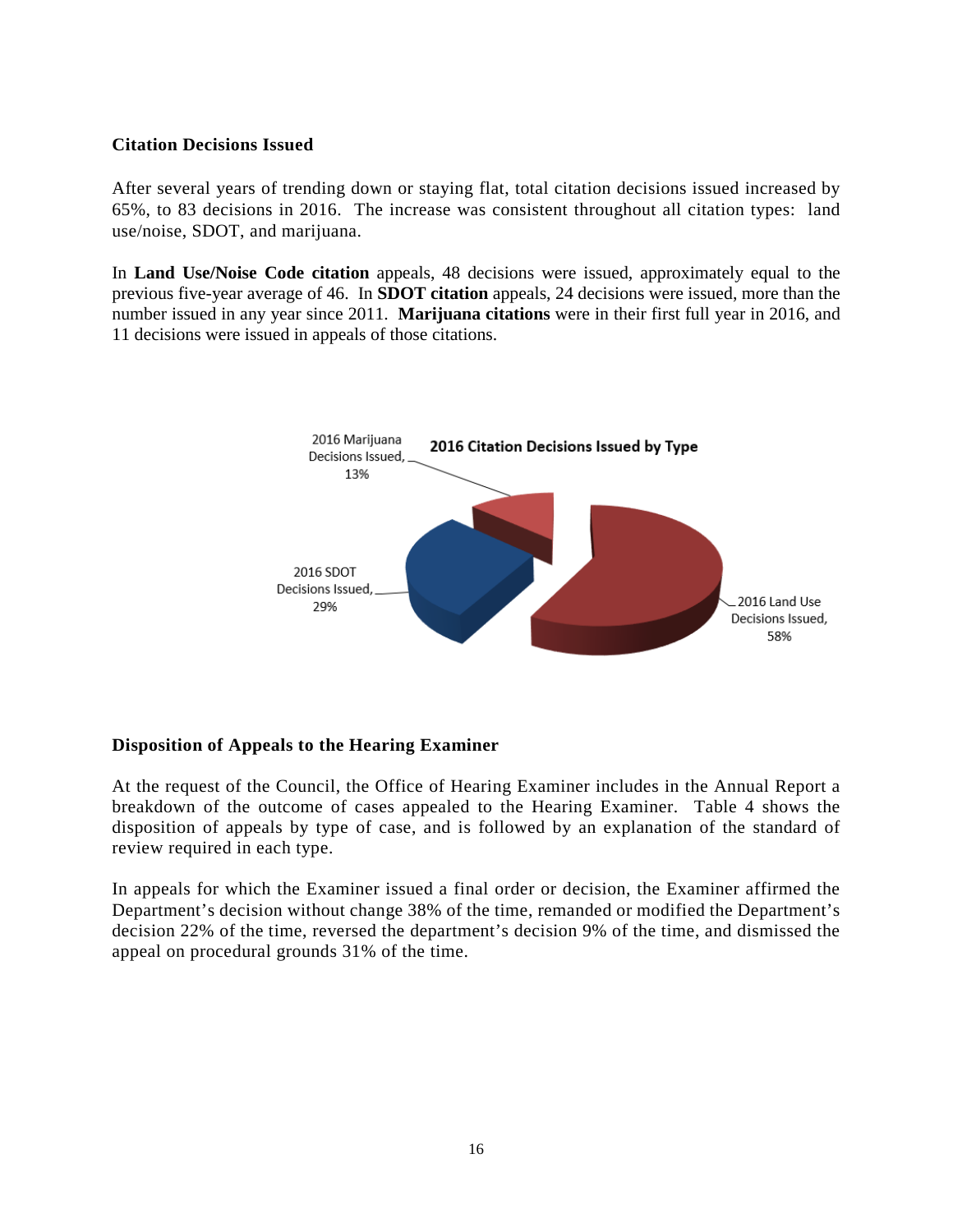## **Citation Decisions Issued**

After several years of trending down or staying flat, total citation decisions issued increased by 65%, to 83 decisions in 2016. The increase was consistent throughout all citation types: land use/noise, SDOT, and marijuana.

In **Land Use/Noise Code citation** appeals, 48 decisions were issued, approximately equal to the previous five-year average of 46. In **SDOT citation** appeals, 24 decisions were issued, more than the number issued in any year since 2011. **Marijuana citations** were in their first full year in 2016, and 11 decisions were issued in appeals of those citations.



## **Disposition of Appeals to the Hearing Examiner**

At the request of the Council, the Office of Hearing Examiner includes in the Annual Report a breakdown of the outcome of cases appealed to the Hearing Examiner. Table 4 shows the disposition of appeals by type of case, and is followed by an explanation of the standard of review required in each type.

In appeals for which the Examiner issued a final order or decision, the Examiner affirmed the Department's decision without change 38% of the time, remanded or modified the Department's decision 22% of the time, reversed the department's decision 9% of the time, and dismissed the appeal on procedural grounds 31% of the time.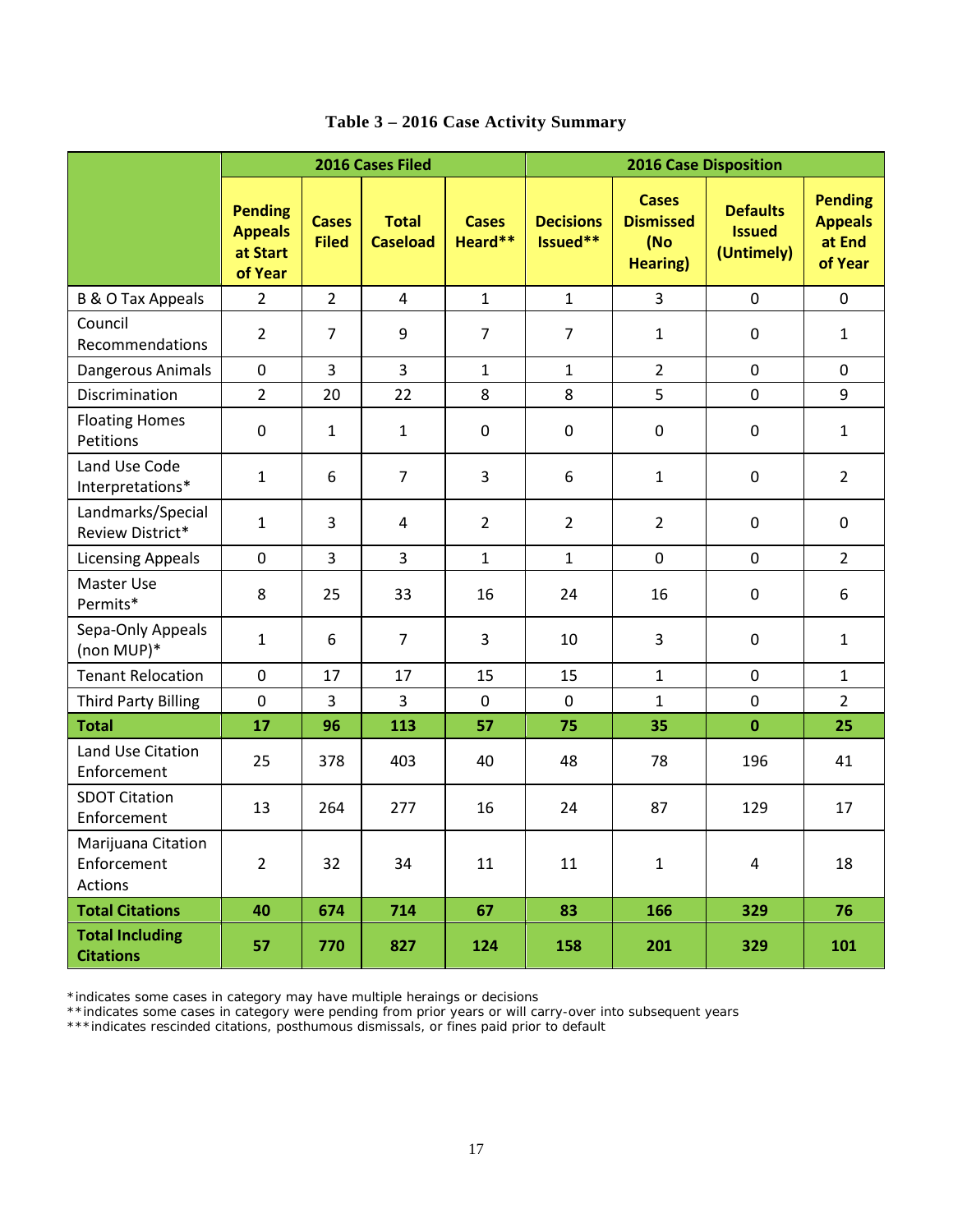|                                              | 2016 Cases Filed                                        |                              |                                 | <b>2016 Case Disposition</b> |                              |                                                             |                                                |                                                       |  |
|----------------------------------------------|---------------------------------------------------------|------------------------------|---------------------------------|------------------------------|------------------------------|-------------------------------------------------------------|------------------------------------------------|-------------------------------------------------------|--|
|                                              | <b>Pending</b><br><b>Appeals</b><br>at Start<br>of Year | <b>Cases</b><br><b>Filed</b> | <b>Total</b><br><b>Caseload</b> | <b>Cases</b><br>Heard**      | <b>Decisions</b><br>Issued** | <b>Cases</b><br><b>Dismissed</b><br>(No<br><b>Hearing</b> ) | <b>Defaults</b><br><b>Issued</b><br>(Untimely) | <b>Pending</b><br><b>Appeals</b><br>at End<br>of Year |  |
| <b>B &amp; O Tax Appeals</b>                 | $\overline{2}$                                          | $\overline{2}$               | $\overline{4}$                  | $\mathbf{1}$                 | $\mathbf{1}$                 | 3                                                           | $\mathbf 0$                                    | $\mathbf 0$                                           |  |
| Council<br>Recommendations                   | $\overline{2}$                                          | $\overline{7}$               | 9                               | $\overline{7}$               | $\overline{7}$               | $\mathbf{1}$                                                | $\pmb{0}$                                      | $\mathbf{1}$                                          |  |
| Dangerous Animals                            | $\mathbf 0$                                             | 3                            | $\overline{3}$                  | $\mathbf{1}$                 | $\mathbf{1}$                 | $\overline{2}$                                              | $\mathbf 0$                                    | $\mathbf{0}$                                          |  |
| Discrimination                               | $\overline{2}$                                          | 20                           | 22                              | 8                            | 8                            | 5                                                           | $\pmb{0}$                                      | 9                                                     |  |
| <b>Floating Homes</b><br>Petitions           | $\mathbf 0$                                             | $\mathbf{1}$                 | $\mathbf{1}$                    | $\boldsymbol{0}$             | $\mathbf 0$                  | $\mathbf 0$                                                 | $\pmb{0}$                                      | $\mathbf{1}$                                          |  |
| Land Use Code<br>Interpretations*            | $\mathbf{1}$                                            | 6                            | $\overline{7}$                  | 3                            | 6                            | $\mathbf{1}$                                                | $\mathbf 0$                                    | $\overline{2}$                                        |  |
| Landmarks/Special<br>Review District*        | $\mathbf{1}$                                            | 3                            | 4                               | $\overline{2}$               | $\overline{2}$               | $\overline{2}$                                              | $\pmb{0}$                                      | $\mathbf 0$                                           |  |
| <b>Licensing Appeals</b>                     | $\mathbf 0$                                             | 3                            | 3                               | $\mathbf{1}$                 | $\mathbf{1}$                 | $\mathbf 0$                                                 | $\mathbf 0$                                    | $\overline{2}$                                        |  |
| Master Use<br>Permits*                       | 8                                                       | 25                           | 33                              | 16                           | 24                           | 16                                                          | $\pmb{0}$                                      | 6                                                     |  |
| Sepa-Only Appeals<br>(non MUP)*              | $\mathbf{1}$                                            | 6                            | $\overline{7}$                  | 3                            | 10                           | 3                                                           | $\mathbf 0$                                    | $\mathbf{1}$                                          |  |
| <b>Tenant Relocation</b>                     | $\mathbf 0$                                             | 17                           | 17                              | 15                           | 15                           | $\mathbf{1}$                                                | $\pmb{0}$                                      | $\mathbf{1}$                                          |  |
| <b>Third Party Billing</b>                   | $\mathbf 0$                                             | 3                            | 3                               | $\mathbf 0$                  | $\mathbf 0$                  | $\mathbf{1}$                                                | $\mathbf 0$                                    | $\overline{2}$                                        |  |
| <b>Total</b>                                 | 17                                                      | 96                           | 113                             | 57                           | 75                           | 35                                                          | $\mathbf 0$                                    | 25                                                    |  |
| Land Use Citation<br>Enforcement             | 25                                                      | 378                          | 403                             | 40                           | 48                           | 78                                                          | 196                                            | 41                                                    |  |
| <b>SDOT Citation</b><br>Enforcement          | 13                                                      | 264                          | 277                             | 16                           | 24                           | 87                                                          | 129                                            | 17                                                    |  |
| Marijuana Citation<br>Enforcement<br>Actions | $\overline{2}$                                          | 32                           | 34                              | 11                           | 11                           | $1\,$                                                       | $\overline{4}$                                 | 18                                                    |  |
| <b>Total Citations</b>                       | 40                                                      | 674                          | 714                             | 67                           | 83                           | 166                                                         | 329                                            | 76                                                    |  |
| <b>Total Including</b><br><b>Citations</b>   | 57                                                      | 770                          | 827                             | 124                          | 158                          | 201                                                         | 329                                            | 101                                                   |  |

## **Table 3 – 2016 Case Activity Summary**

\*indicates some cases in category may have multiple heraings or decisions

\*\*indicates some cases in category were pending from prior years or will carry-over into subsequent years

\*\*\*indicates rescinded citations, posthumous dismissals, or fines paid prior to default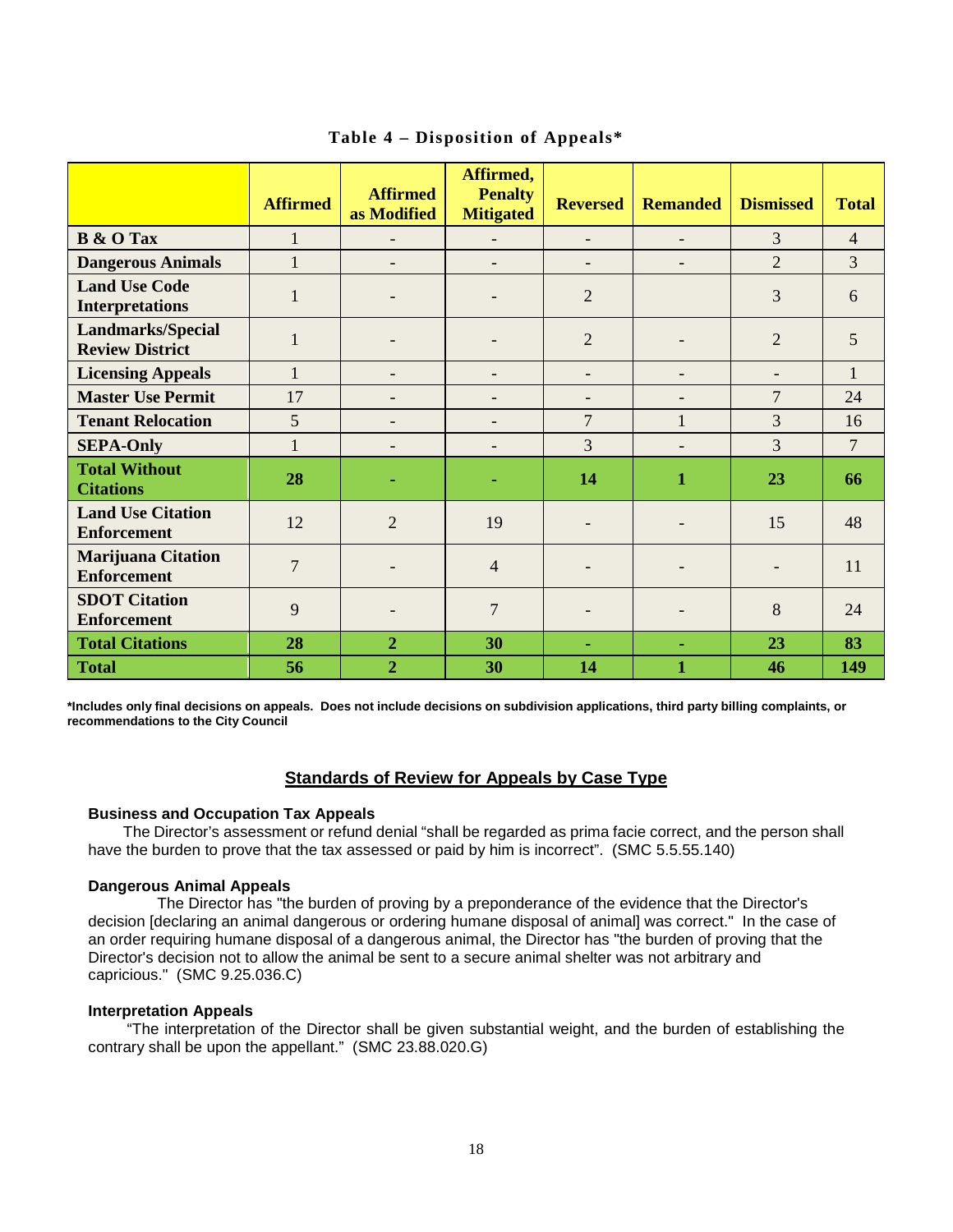|                                                    | <b>Affirmed</b> | <b>Affirmed</b><br>as Modified | Affirmed,<br><b>Penalty</b><br><b>Mitigated</b> | <b>Reversed</b>   | <b>Remanded</b>          | <b>Dismissed</b> | <b>Total</b>   |
|----------------------------------------------------|-----------------|--------------------------------|-------------------------------------------------|-------------------|--------------------------|------------------|----------------|
| <b>B</b> & O Tax                                   | $\mathbf{1}$    |                                | $\overline{a}$                                  | $\overline{a}$    |                          | 3                | $\overline{4}$ |
| <b>Dangerous Animals</b>                           | $\mathbf{1}$    |                                |                                                 |                   |                          | $\overline{2}$   | 3              |
| <b>Land Use Code</b><br><b>Interpretations</b>     | $\mathbf{1}$    |                                |                                                 | $\overline{2}$    |                          | 3                | 6              |
| <b>Landmarks/Special</b><br><b>Review District</b> | $\mathbf{1}$    |                                |                                                 | $\overline{2}$    |                          | $\overline{2}$   | 5              |
| <b>Licensing Appeals</b>                           | $\mathbf{1}$    |                                | $\overline{\phantom{0}}$                        | $\overline{a}$    | $\overline{\phantom{0}}$ |                  | $\mathbf{1}$   |
| <b>Master Use Permit</b>                           | 17              |                                | -                                               | $\qquad \qquad -$ | $\overline{\phantom{0}}$ | $\overline{7}$   | 24             |
| <b>Tenant Relocation</b>                           | 5               |                                | -                                               | 7                 | $\mathbf{1}$             | $\overline{3}$   | 16             |
| <b>SEPA-Only</b>                                   | $\mathbf{1}$    |                                |                                                 | 3                 |                          | $\overline{3}$   | $\overline{7}$ |
| <b>Total Without</b><br><b>Citations</b>           | 28              |                                |                                                 | 14                | $\mathbf{1}$             | 23               | 66             |
| <b>Land Use Citation</b><br><b>Enforcement</b>     | 12              | $\overline{2}$                 | 19                                              |                   |                          | 15               | 48             |
| <b>Marijuana Citation</b><br><b>Enforcement</b>    | $\overline{7}$  |                                | $\overline{4}$                                  |                   |                          |                  | 11             |
| <b>SDOT Citation</b><br><b>Enforcement</b>         | 9               |                                | 7                                               |                   |                          | 8                | 24             |
| <b>Total Citations</b>                             | 28              | $\overline{2}$                 | 30                                              | ٠                 | ٠                        | 23               | 83             |
| <b>Total</b>                                       | 56              | $\overline{2}$                 | 30                                              | 14                | 1                        | 46               | 149            |

## **Table 4 – Disposition of Appeals\***

**\*Includes only final decisions on appeals. Does not include decisions on subdivision applications, third party billing complaints, or recommendations to the City Council**

#### **Standards of Review for Appeals by Case Type**

#### **Business and Occupation Tax Appeals**

The Director's assessment or refund denial "shall be regarded as prima facie correct, and the person shall have the burden to prove that the tax assessed or paid by him is incorrect". (SMC 5.5.55.140)

#### **Dangerous Animal Appeals**

 The Director has "the burden of proving by a preponderance of the evidence that the Director's decision [declaring an animal dangerous or ordering humane disposal of animal] was correct." In the case of an order requiring humane disposal of a dangerous animal, the Director has "the burden of proving that the Director's decision not to allow the animal be sent to a secure animal shelter was not arbitrary and capricious." (SMC 9.25.036.C)

#### **Interpretation Appeals**

 "The interpretation of the Director shall be given substantial weight, and the burden of establishing the contrary shall be upon the appellant." (SMC 23.88.020.G)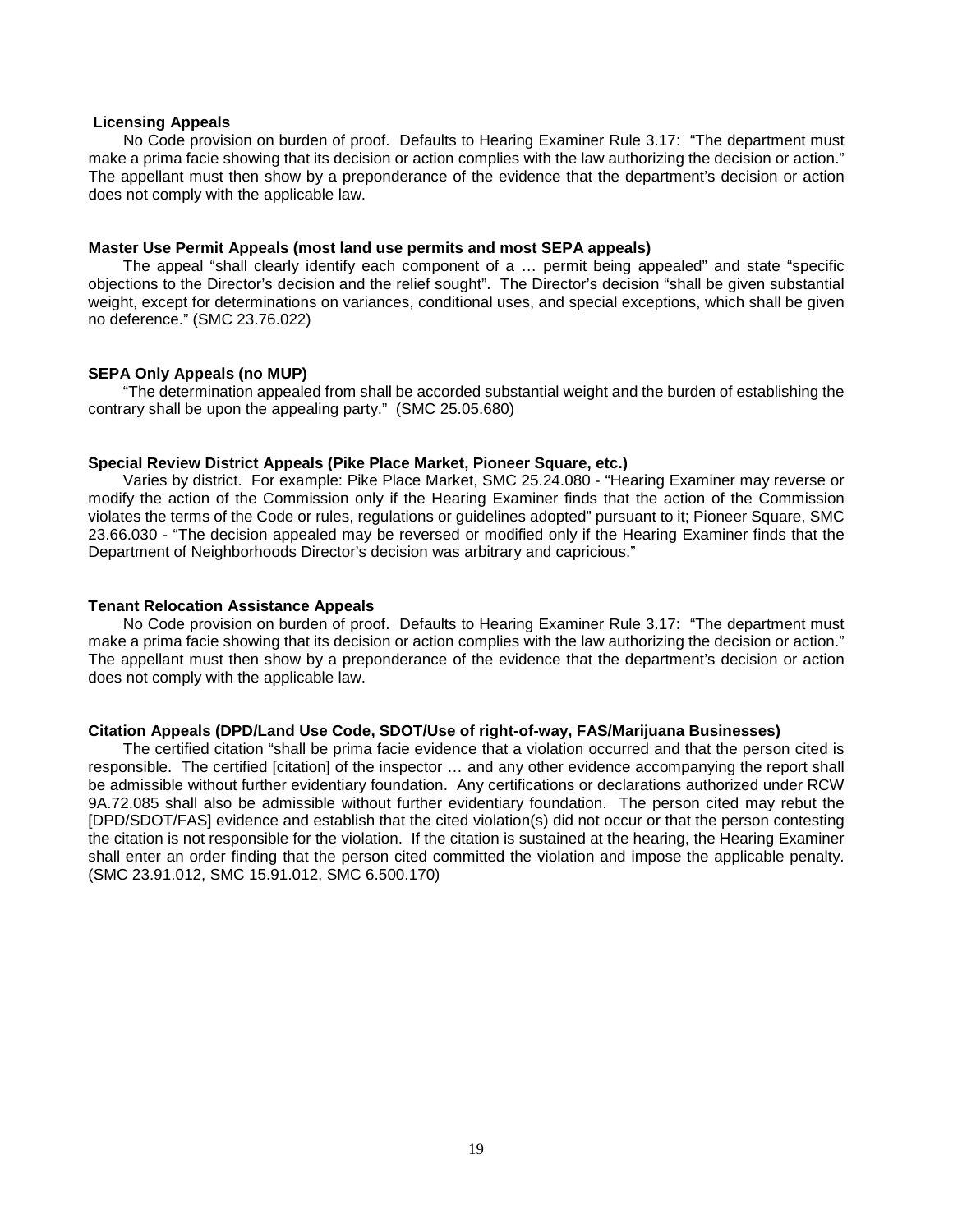#### **Licensing Appeals**

No Code provision on burden of proof. Defaults to Hearing Examiner Rule 3.17: "The department must make a prima facie showing that its decision or action complies with the law authorizing the decision or action." The appellant must then show by a preponderance of the evidence that the department's decision or action does not comply with the applicable law.

#### **Master Use Permit Appeals (most land use permits and most SEPA appeals)**

The appeal "shall clearly identify each component of a … permit being appealed" and state "specific objections to the Director's decision and the relief sought". The Director's decision "shall be given substantial weight, except for determinations on variances, conditional uses, and special exceptions, which shall be given no deference." (SMC 23.76.022)

#### **SEPA Only Appeals (no MUP)**

"The determination appealed from shall be accorded substantial weight and the burden of establishing the contrary shall be upon the appealing party." (SMC 25.05.680)

#### **Special Review District Appeals (Pike Place Market, Pioneer Square, etc.)**

Varies by district. For example: Pike Place Market, SMC 25.24.080 - "Hearing Examiner may reverse or modify the action of the Commission only if the Hearing Examiner finds that the action of the Commission violates the terms of the Code or rules, regulations or guidelines adopted" pursuant to it; Pioneer Square, SMC 23.66.030 - "The decision appealed may be reversed or modified only if the Hearing Examiner finds that the Department of Neighborhoods Director's decision was arbitrary and capricious."

#### **Tenant Relocation Assistance Appeals**

No Code provision on burden of proof. Defaults to Hearing Examiner Rule 3.17: "The department must make a prima facie showing that its decision or action complies with the law authorizing the decision or action." The appellant must then show by a preponderance of the evidence that the department's decision or action does not comply with the applicable law.

#### **Citation Appeals (DPD/Land Use Code, SDOT/Use of right-of-way, FAS/Marijuana Businesses)**

The certified citation "shall be prima facie evidence that a violation occurred and that the person cited is responsible. The certified [citation] of the inspector … and any other evidence accompanying the report shall be admissible without further evidentiary foundation. Any certifications or declarations authorized under RCW 9A.72.085 shall also be admissible without further evidentiary foundation. The person cited may rebut the [DPD/SDOT/FAS] evidence and establish that the cited violation(s) did not occur or that the person contesting the citation is not responsible for the violation. If the citation is sustained at the hearing, the Hearing Examiner shall enter an order finding that the person cited committed the violation and impose the applicable penalty. (SMC 23.91.012, SMC 15.91.012, SMC 6.500.170)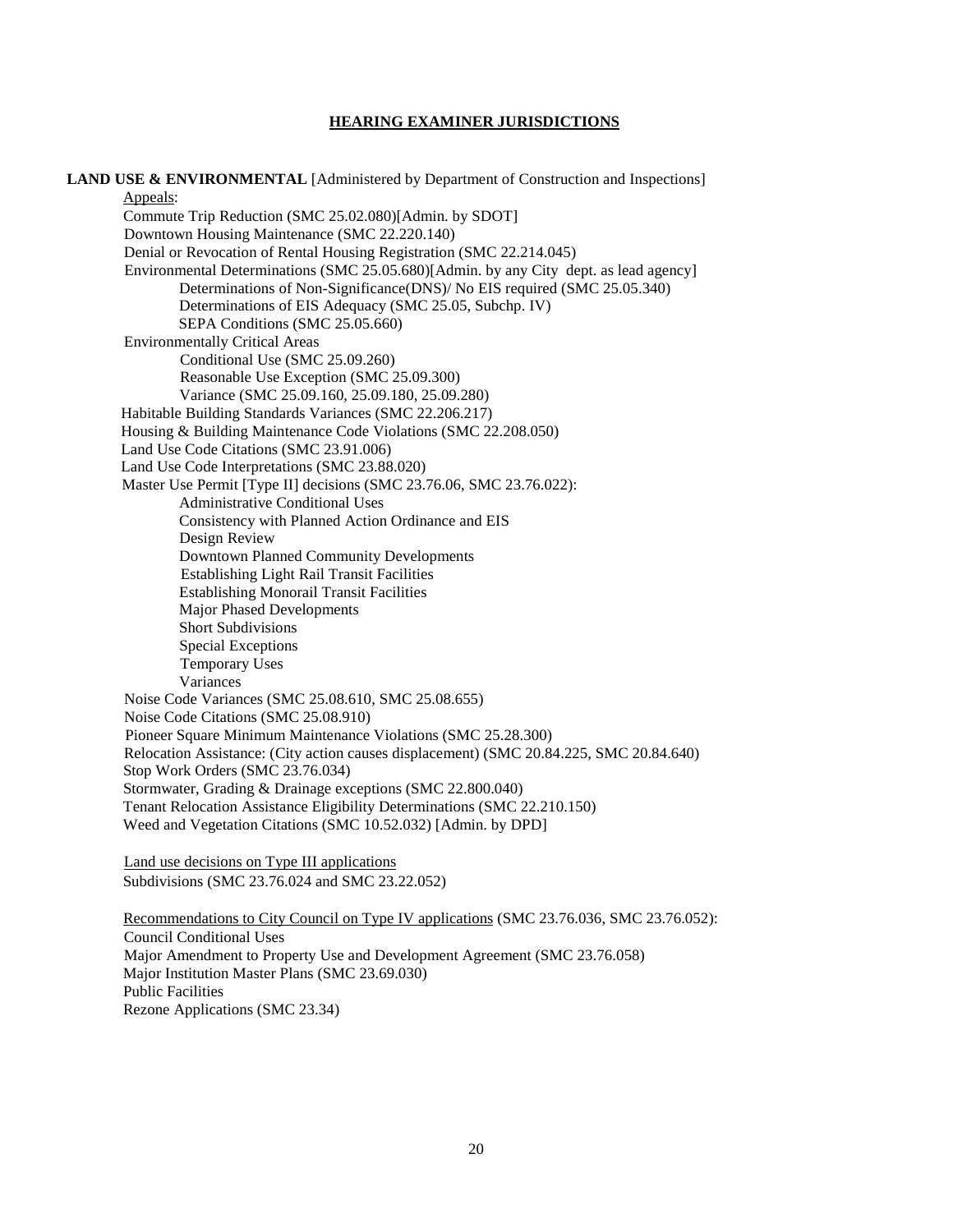#### **HEARING EXAMINER JURISDICTIONS**

LAND USE & ENVIRONMENTAL [Administered by Department of Construction and Inspections] Appeals: Commute Trip Reduction (SMC 25.02.080)[Admin. by SDOT] Downtown Housing Maintenance (SMC 22.220.140) Denial or Revocation of Rental Housing Registration (SMC 22.214.045) Environmental Determinations (SMC 25.05.680)[Admin. by any City dept. as lead agency] Determinations of Non-Significance(DNS)/ No EIS required (SMC 25.05.340) Determinations of EIS Adequacy (SMC 25.05, Subchp. IV) SEPA Conditions (SMC 25.05.660) Environmentally Critical Areas Conditional Use (SMC 25.09.260) Reasonable Use Exception (SMC 25.09.300) Variance (SMC 25.09.160, 25.09.180, 25.09.280) Habitable Building Standards Variances (SMC 22.206.217) Housing & Building Maintenance Code Violations (SMC 22.208.050) Land Use Code Citations (SMC 23.91.006) Land Use Code Interpretations (SMC 23.88.020) Master Use Permit [Type II] decisions (SMC 23.76.06, SMC 23.76.022): Administrative Conditional Uses Consistency with Planned Action Ordinance and EIS Design Review Downtown Planned Community Developments Establishing Light Rail Transit Facilities Establishing Monorail Transit Facilities Major Phased Developments Short Subdivisions Special Exceptions Temporary Uses Variances Noise Code Variances (SMC 25.08.610, SMC 25.08.655) Noise Code Citations (SMC 25.08.910) Pioneer Square Minimum Maintenance Violations (SMC 25.28.300) Relocation Assistance: (City action causes displacement) (SMC 20.84.225, SMC 20.84.640) Stop Work Orders (SMC 23.76.034) Stormwater, Grading & Drainage exceptions (SMC 22.800.040) Tenant Relocation Assistance Eligibility Determinations (SMC 22.210.150) Weed and Vegetation Citations (SMC 10.52.032) [Admin. by DPD] Land use decisions on Type III applications Subdivisions (SMC 23.76.024 and SMC 23.22.052) Recommendations to City Council on Type IV applications (SMC 23.76.036, SMC 23.76.052): Council Conditional Uses

Major Amendment to Property Use and Development Agreement (SMC 23.76.058) Major Institution Master Plans (SMC 23.69.030) Public Facilities Rezone Applications (SMC 23.34)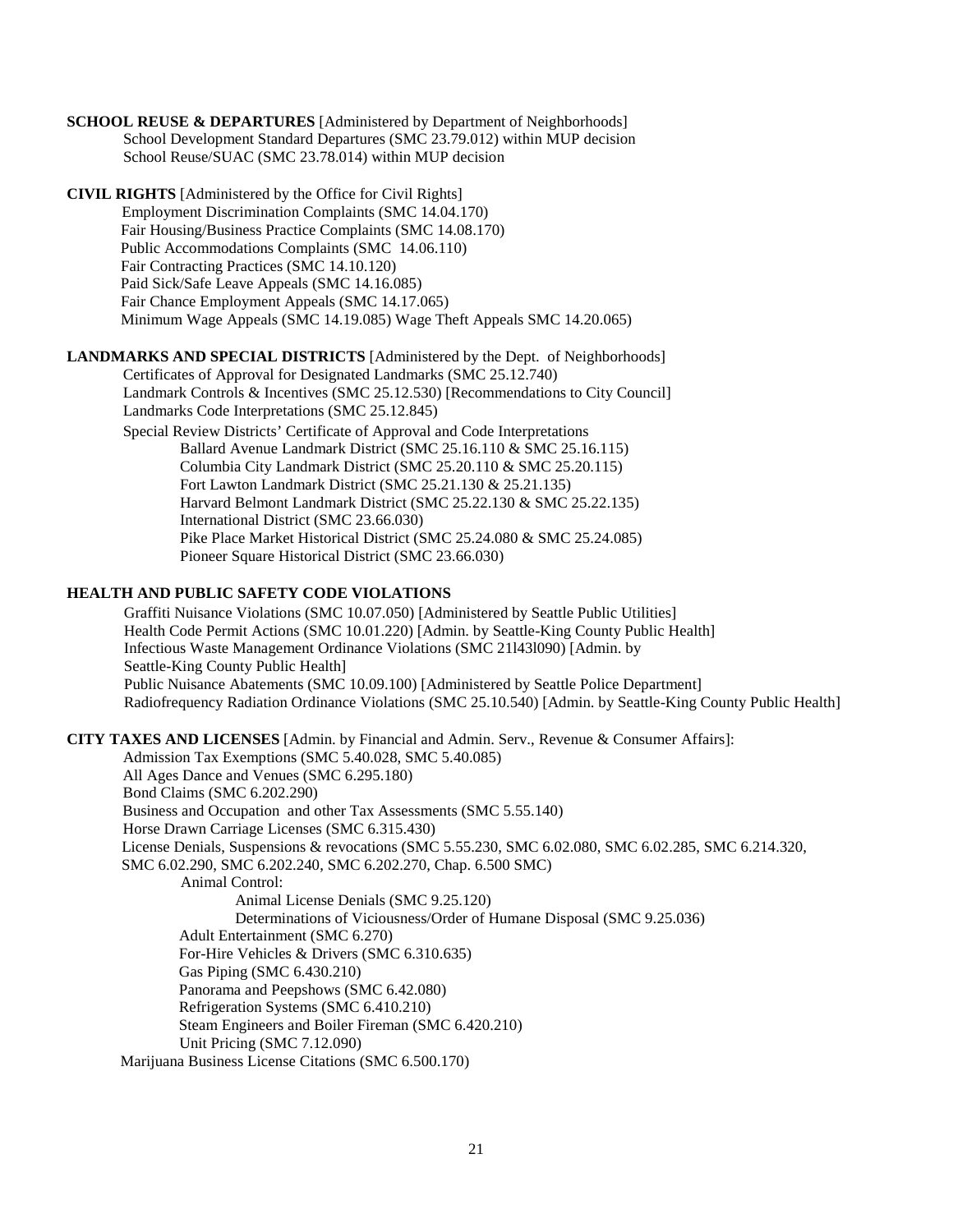**SCHOOL REUSE & DEPARTURES** [Administered by Department of Neighborhoods] School Development Standard Departures (SMC 23.79.012) within MUP decision School Reuse/SUAC (SMC 23.78.014) within MUP decision

**CIVIL RIGHTS** [Administered by the Office for Civil Rights] Employment Discrimination Complaints (SMC 14.04.170) Fair Housing/Business Practice Complaints (SMC 14.08.170) Public Accommodations Complaints (SMC 14.06.110) Fair Contracting Practices (SMC 14.10.120) Paid Sick/Safe Leave Appeals (SMC 14.16.085) Fair Chance Employment Appeals (SMC 14.17.065) Minimum Wage Appeals (SMC 14.19.085) Wage Theft Appeals SMC 14.20.065)

**LANDMARKS AND SPECIAL DISTRICTS** [Administered by the Dept. of Neighborhoods] Certificates of Approval for Designated Landmarks (SMC 25.12.740) Landmark Controls & Incentives (SMC 25.12.530) [Recommendations to City Council] Landmarks Code Interpretations (SMC 25.12.845)

Special Review Districts' Certificate of Approval and Code Interpretations Ballard Avenue Landmark District (SMC 25.16.110 & SMC 25.16.115) Columbia City Landmark District (SMC 25.20.110 & SMC 25.20.115) Fort Lawton Landmark District (SMC 25.21.130 & 25.21.135) Harvard Belmont Landmark District (SMC 25.22.130 & SMC 25.22.135) International District (SMC 23.66.030) Pike Place Market Historical District (SMC 25.24.080 & SMC 25.24.085) Pioneer Square Historical District (SMC 23.66.030)

#### **HEALTH AND PUBLIC SAFETY CODE VIOLATIONS**

Graffiti Nuisance Violations (SMC 10.07.050) [Administered by Seattle Public Utilities] Health Code Permit Actions (SMC 10.01.220) [Admin. by Seattle-King County Public Health] Infectious Waste Management Ordinance Violations (SMC 21l43l090) [Admin. by Seattle-King County Public Health] Public Nuisance Abatements (SMC 10.09.100) [Administered by Seattle Police Department] Radiofrequency Radiation Ordinance Violations (SMC 25.10.540) [Admin. by Seattle-King County Public Health]

**CITY TAXES AND LICENSES** [Admin. by Financial and Admin. Serv., Revenue & Consumer Affairs]: Admission Tax Exemptions (SMC 5.40.028, SMC 5.40.085) All Ages Dance and Venues (SMC 6.295.180) Bond Claims (SMC 6.202.290) Business and Occupation and other Tax Assessments (SMC 5.55.140) Horse Drawn Carriage Licenses (SMC 6.315.430) License Denials, Suspensions & revocations (SMC 5.55.230, SMC 6.02.080, SMC 6.02.285, SMC 6.214.320, SMC 6.02.290, SMC 6.202.240, SMC 6.202.270, Chap. 6.500 SMC) Animal Control: Animal License Denials (SMC 9.25.120) Determinations of Viciousness/Order of Humane Disposal (SMC 9.25.036) Adult Entertainment (SMC 6.270) For-Hire Vehicles & Drivers (SMC 6.310.635) Gas Piping (SMC 6.430.210) Panorama and Peepshows (SMC 6.42.080) Refrigeration Systems (SMC 6.410.210) Steam Engineers and Boiler Fireman (SMC 6.420.210) Unit Pricing (SMC 7.12.090) Marijuana Business License Citations (SMC 6.500.170)